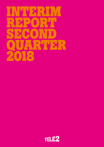# Interim Report of the line second QUARTER 2018

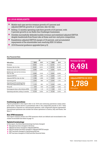### Q2 2018 HIGHLIGHTS

- Mobile end-user service revenue growth of 5 percent and adjusted EBITDA growth of 12 percent, like-for-like
- Rolling 12 months operating cash flow growth of 20 percent, with 5 percent growth in our Baltic Sea Challenger businesses
- Sweden successfully defended mobile revenue and stabilized adjusted EBITDA despite headwinds from Roam Like at Home and low-end price competition
- Kazakhstan adjusted EBITDA margin of 34 percent, and accumulated repayments of the shareholder loan reaching SEK 0.6 billion
- 2018 financial guidance upgraded (see p.5)

|                                                                      |       | Q <sub>2</sub><br>H1 |      |        |        |      |
|----------------------------------------------------------------------|-------|----------------------|------|--------|--------|------|
| <b>SEK million</b>                                                   | 2018  | 2017                 | $\%$ | 2018   | 2017   | $\%$ |
| Revenue                                                              | 6,491 | 6,152                | 6    | 12,751 | 12,117 | 5    |
| Revenue, like-for-like                                               | 6.491 | 6.211                | 5    | 12.751 | 12.180 | 5    |
| Mobile end-user service revenue                                      | 3.580 | 3.391                | 6    | 6.991  | 6.674  | 5    |
| Mobile end-user service revenue,<br>like-for-like                    | 3.580 | 3.414                | 5    | 6.991  | 6.690  | 4    |
| Adjusted EBITDA                                                      | 1,789 | 1,581                | 13   | 3,455  | 3,157  | 9    |
| Adjusted EBITDA, like-for-like                                       | 1,789 | 1.599                | 12   | 3.455  | 3,180  | 9    |
| Operating profit                                                     | 1.040 | 895                  | 16   | 2,044  | 1,731  | 18   |
| Operating profit excluding items<br>affecting comparability (Note 3) | 1.170 | 961                  | 22   | 2.243  | 1.902  | 18   |
| Net profit                                                           | 670   | 530                  | 26   | 1,295  | 1,062  | 22   |
| Earnings per share, after dilution (SEK)                             | 1.26  | 1.10                 | 15   | 2.49   | 2.23   | 12   |
| Operating cash flow, rolling 12 months                               | 4.718 | 3.932                | 20   | 4.718  | 3.932  | 20   |

Key Financial Data



AdjustedEBITDA Q2 2018 1,789 SEK million

#### **Continuing operations**

Figures presented in this report refer to Q2 2018 and continuing operations unless otherwise stated. Figures shown in parentheses refer to the comparable periods in 2017. Tele2 Netherlands is reported as a discontinued operation, with comparative figures represented. Discontinued operations also include the former operations in Austria, Italy and Russia. See Note 11.

#### **Non-IFRS measures**

This report contains certain non-IFRS measures which are defined and reconciliated to the closest reconcilable line items on page 14.

#### **Updated terminology**

In this report, the following terminology has been changed:

- Net sales has been changed to Revenue
- **EBITDA** has been changed to Adjusted EBITDA
- EBITDA margin has been changed to Adjusted EBITDA margin
- **EBIT** has been changed to Operating profit/loss
- **EBT** has been changed to Profit/loss after financial items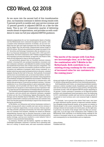### CEO Word, Q2 2018

As we move into the second half of this transformative year, our business continues to deliver strong results with 5 percent growth in mobile end-user service revenue and 12 percent growth in adjusted EBITDA on a like-for-like basis. This is our 12th consecutive quarter of delivering results ahead of expectations, and provides us with confidence to raise our full year adjusted EBITDA guidance.

Intensive preparations for our two transformative deals in Sweden and the Netherlands have continued throughout the quarter, with a number of key milestones achieved. In Sweden, we are now confident that the opex and capex synergies from the Com Hem merger will be higher than the previously communicated annual target of SEK 450 million. We have also submitted the merger document to the U.S. Securities and Exchange Commission after an extensive re-audit of our financial statements for the years 2015, 2016 and 2017. Meanwhile, the Dutch combination with T-Mobile completed Phase I of its regulatory process and entered, as expected, into Phase II. Both deals are still expected to close in the fourth quarter.

I am particularly pleased that our Swedish business remains resilient, winning both new postpaid smartphone consumers and new enterprise customers, and defended its mobile revenue despite the headwinds from Roam Like at Home and price competition. Our mobile consumer business successfully produced another quarter of positive net additions of postpaid, small-screen customers, in a market which has seen some increased activity in the price-oriented segment during the first half of this year. Such periods of increased activity have occurred before and, as we have done before, we leveraged our strong dual brand position and customer value propositions to successfully navigate the competitive environment. Swedish consumers continue to embrace the opportunity to consume more, with mobile data growing by 50 percent per postpaid customer. Customer satisfaction is our overarching mission to grow sustainable value in our business, and we proudly note that in April, Comviq and Tele2 claimed the two top spots in a ServiceScore survey of operators' ability to meet the service expectations of Swedish telecom consumers.

The Swedish business segment sequentially improved in the second quarter, and won several new enterprise customers, examples of which are the City of Gothenburg, Uppsala Municipality, Epiroc, Getinge and the Swedish Sports Federation. We expect some price pressure within B2B to continue in the short term, but customer wins seen over the past quarters should help to improve the revenue trend during the second half.

In the Baltics, our Lithuanian and Latvian businesses continue to deliver strong growth rates in mobile end-user service revenue of 12 and 10 percent respectively, in local currency. Estonia made a first step towards a financial turnaround, but even more important was our Customer First initiative, whereby we closed our Estonian telemarketing channel and re-directed resources to better serve existing, loyal customers. This initiative received extremely positive media coverage, and has now resulted in a new industry Code of Conduct to stop unsolicited telemarketing.

In summary, Sweden and the Baltics, together our Baltic Sea Challenger businesses, achieved a 5 percent rise in operating cash flow on a rolling 12-month basis, and cash conversion remained



"The merits of the merger with Com Hem are increasingly clear, as is the logic of the combination with T-Mobile in the Netherlands. Both contribute to an existing strong roadmap for the creation of increased value for our customers in the coming years."

strong and stable at 80 percent, contributing to a 20 percent rise in 12-months rolling operating cash flow from continuing operations.

Both Kazakhstan and Croatia, our remaining investment markets, continue to deliver excellent results. Kazakhstan grew mobile enduser service revenue by 20 percent in local currency, driving further economies of scale, with the adjusted EBITDA margin expanding to 34 percent. Croatia continues to monetize on its improved product portfolio and strengthened brand perception since the beginning of 2017, contributing to mobile end-user service revenue growth of 13 percent in local currency and a new seasonal high in adjusted EBITDA.

To conclude, I am so proud of the whole Tele2 team, who have yet again delivered another quarter of improved customer satisfaction alongside strong financial results, as we pursue our mission to liberate people to live a more connected life. This purpose, and the strategic choices we have made over recent years, are the right ones. In particular, the merits of the merger with Com Hem are increasingly clear, as is the logic of the combination with T-Mobile in the Netherlands. Both contribute to an existing strong roadmap for the creation of increased value for our customers in the coming years, and consequently for our shareholders and our employees.

Allison Kirkby President and CEO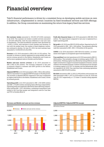### Financial overview

Tele2's financial performance is driven by a consistent focus on developing mobile services on own infrastructure, complemented in certain countries by fixed broadband services and B2B offerings. In addition, the Group concentrates on maximizing the return from legacy fixed line services.

Net customer intake amounted to 150,000 (273,000) customers in Q2 2018. The customer net intake in mobile services amounted to 167,000 (296,000), with the main difference to last year seen in Kazakhstan. The fixed broadband customer base decreased by –4,000 (–5,000), with declines in both Sweden and Germany. In line with the market trend, the number of fixed telephony customers continued to decline. On June 30, 2018, the total customer base amounted to 15,469,000 (15,242,000).

Revenue in Q2 2018 amounted to SEK 6,491 (6,152) million. The increase in revenue is mainly explained by strong mobile end-user service revenue growth in the Baltics, Kazakhstan and Croatia as well as more equipment sales in Sweden and the Baltics.

Mobile end-user service revenue in Q2 2018 amounted to SEK 3,580 (3,391) million. The increase compared to last year is primarily related to customer and ASPU growth in the Baltics, Kazakhstan and Croatia.

Adjusted EBITDA in Q2 2018 amounted to SEK 1,789 (1,581) million, which is equivalent to an adjusted EBITDA margin of 28 (26) percent. The increase in adjusted EBITDA compared to last year is explained by higher profit levels in the Baltics, Kazakhstan and Croatia, driven by revenue growth.

Operating profit in Q2 2018 amounted to SEK 1,040 (895) million and SEK 1,170 (961) million excluding items affecting comparability. Operating profit was negatively affected by items affecting comparability totaling SEK –130 (–66) million, consisting of acquisition costs related to the Com Hem merger and integration costs for Com Hem and TDC in Sweden (Note 3).

Profit after financial items in Q2 2018 amounted to SEK 866 (722) million. The improvement compared to last year is explained by a higher operating profit.

Net profit in Q2 2018 was SEK 670 (530) million. Reported tax for Q2 2018 amounted to SEK –196 (–192) million. Tax payments affecting cash flow amounted to SEK –280 (–133) million in the quarter.

CAPEX in Q2 2018 amounted to SEK 568 (513) million, as investments were higher in all segments apart from Kazakhstan.

Free cash flow from total operations in Q2 2018 amounted to SEK 511 (820) million. This included a change in working capital of SEK –115 (415) million. Working capital was affected by timing differences and higher inventories to support increased equipment revenues, mainly related to the Swedish business. Positive contributions from changes in working capital in Q2 2017 in Sweden and the Netherlands were not repeated in Q2 2018. Free cash flow from continuing operations amounted to SEK 674 (972) million.

Net debt amounted to SEK 12,205 (12,445) million and economic net debt amounted to SEK 11,357 (12,023) million on June 30, 2018 and June 30, 2017 respectively, or 1.72 times 12 months rolling adjusted EBITDA.



#### Revenue and Mobile end-user service revenue

#### AdjustedEBITDA/AdjustedEBITDA margin

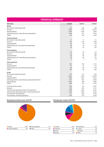| <b>FINANCIAL SUMMARY</b>                                      |                |         |         |  |  |
|---------------------------------------------------------------|----------------|---------|---------|--|--|
| <b>SEK</b> million                                            | <b>Q2 2018</b> | Q2 2017 | FY 2017 |  |  |
| <b>Mobile</b>                                                 |                |         |         |  |  |
| Net customer intake (thousands)                               | 167            | 296     | 428     |  |  |
| Revenue                                                       | 5,520          | 5,119   | 20,720  |  |  |
| Adjusted EBITDA                                               | 1,658          | 1,438   | 5,848   |  |  |
| Operating profit excl. items affecting comparability          | 1,164          | 971     | 3,870   |  |  |
| <b>CAPEX</b>                                                  | 374            | 382     | 1,353   |  |  |
| <b>Fixed broadband</b>                                        |                |         |         |  |  |
| Net customer intake (thousands)                               | $-4$           | $-5$    | $-21$   |  |  |
| Revenue                                                       | 291            | 340     | 1,348   |  |  |
| <b>Adjusted EBITDA</b>                                        | 36             | 39      | 153     |  |  |
| Operating loss excl. items affecting comparability            | $-18$          | $-23$   | $-112$  |  |  |
| <b>CAPEX</b>                                                  | 29             | 42      | 159     |  |  |
| <b>Fixed telephony</b>                                        |                |         |         |  |  |
| Net customer intake (thousands)                               | $-13$          | $-18$   | $-70$   |  |  |
| Revenue                                                       | 113            | 141     | 546     |  |  |
| Adjusted EBITDA                                               | 48             | 60      | 225     |  |  |
| Operating profit excl. items affecting comparability          | 48             | 58      | 216     |  |  |
| <b>CAPEX</b>                                                  | 5              | 3       | 12      |  |  |
| Other operations                                              |                |         |         |  |  |
| Revenue                                                       | 567            | 552     | 2,172   |  |  |
| Adjusted EBITDA                                               | 47             | 44      | 214     |  |  |
| Operating loss excl. items affecting comparability            | $-24$          | $-45$   | $-130$  |  |  |
| <b>CAPEX</b>                                                  | 160            | 86      | 409     |  |  |
| Group                                                         |                |         |         |  |  |
| Net customer intake (thousands)                               | 150            | 273     | 336     |  |  |
| Revenue                                                       | 6,491          | 6,152   | 24,786  |  |  |
| Adjusted EBITDA                                               | 1,789          | 1,581   | 6,440   |  |  |
| Operating profit excl. items affecting comparability (Note 3) | 1,170          | 961     | 3,844   |  |  |
| Operating profit                                              | 1,040          | 895     | 3,586   |  |  |
| <b>CAPEX</b>                                                  | 568            | 513     | 1,933   |  |  |
| Profit after financial items                                  | 866            | 722     | 2,930   |  |  |
| Net profit                                                    | 670            | 530     | 2,411   |  |  |
| Cash flow from operating activities, total operations         | 1,186          | 1,674   | 5,732   |  |  |
| Cash flow from operating activities, continuing operations    | 1,159          | 1,560   | 5,404   |  |  |
| Free cash flow, total operations                              | 511            | 820     | 2,519   |  |  |
| Free cash flow, continuing operations                         | 674            | 972     | 3.148   |  |  |



#### Revenue per service area, Q2 2018 Revenue per country, Q2 2018



| 60% | $\blacksquare$ Kazakhstan | 12%             |
|-----|---------------------------|-----------------|
| 10% |                           | 7%              |
| 5%  | <b>Germany</b>            | 2%              |
| 3%  | <b>Other</b>              | 10 <sub>0</sub> |
|     |                           | $\Box$ Croatia  |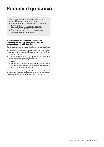### Financial guidance

Tele2 AB upgrades the following guidance for 2018 for continuing operations in constant currencies:

- Mobile end-user service revenue growth of mid-single digits (unchanged)
- Adjusted EBITDA between SEK 6.8 and 7.1 billion (previously between SEK 6.5 and 6.8 billion)
- CAPEX between SEK 2.1 and 2.4 billion excluding spectrum investments (unchanged)

#### **Financial leverage target and shareholder remuneration framework for Tele2, post the proposed merger with Com Hem**

The financial leverage target and shareholder remuneration framework are as follows:

- Enlarged Tele2 will seek to operate within a net debt/adjusted EBITDA range of between 2.5–3.0x and maintain investment grade credit metrics
- Enlarged Tele2's policy will aim to maintain target leverage by distributing capital to shareholders through:
	- An ordinary dividend of at least 80 percent of equity free cash flow; and
	- Extraordinary dividends and/or share repurchases, based on remaining equity free cash flow, proceeds from asset sales and re-leveraging of adjusted EBITDA growth

Based on this policy, Enlarged Tele2 is expected to distribute in excess of 100 percent of equity free cash flow to shareholders, through a combination of dividends and share repurchases.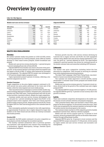### Overview by country

Like-for-like figures

#### Mobile end-user service revenue

| <b>SEK</b> million | 2018<br>Q <sub>2</sub> | 2017<br>Q2 | Growth |
|--------------------|------------------------|------------|--------|
| Sweden             | 1,925                  | 1,936      | $-1\%$ |
| Lithuania          | 335                    | 300        | 12%    |
| Latvia             | 194                    | 177        | 10%    |
| Estonia            | 110                    | 119        | $-7%$  |
| Kazakhstan         | 613                    | 512        | 20%    |
| Croatia            | 272                    | 241        | 13%    |
| Germany            | 80                     | 91         | $-12%$ |
| Other              | 51                     | 40         | 30%    |
| Total              | 3.580                  | 3.414      | 5%     |

#### **BALTIC SEA CHALLENGERS**

#### **Sweden**

Net mobile customer intake was positive at 3,000 (10,000), driven by strong performance by Comviq postpaid, partly offset by limited declines in Tele2 small-screen postpaid, mobile broadband and prepaid.

Mobile end-user service revenue declined by –1 percent but grew 1 percent excluding Roam Like at Home (RLAH).

Adjusted EBITDA from Sweden was close to the level of the previous year, as the revenue decline in the legacy fixed line segment and the impact of RLAH of SEK–37 million were balanced by successful cost management. The adjusted EBITDA margin was unchanged at 27 (27) percent despite higher equipment sales.

Capex represented around 5 percent of revenue, reflecting a stable level compared to Q2 2017.

#### Sweden Consumer

Tough competition in the price-fighter segment continued in Q2, with several low price points advertised at the lower end of the market, while the value segment saw more stable pricing.

Tele2 launched tactical campaigns in several mobile market segments including offerings for students, Unlimited users, international travelers and Tele2 Kids users. Comviq performed well with its new product portfolio, launched in March, despite the tough competition.

Consumer mobile end-user service revenue development was flat, but grew by 1 percent excluding the impact from RLAH. In the postpaid small-screen segment, both Tele2 and Comviq reported positive mobile revenue growth, despite pressure from RLAH, driven by higher ASPU for Tele2 and strong growth in the customer base for Comviq.

Data consumption gradually increased in line with expectations, by approximately 50 percent, due to higher demand for larger data buckets on the Tele2 brand and also driven by Comviq's increased data bucket portfolio.

#### Sweden B2B

As expected, the B2B market continued to be price competitive as more players actively challenge the incumbent operator.

The healthy customer momentum seen in previous quarters was sustained, with significant new contract wins including City of Gothenburg, Uppsala Municipality, Getinge, Swedish Sports Confederation and Epiroc.

#### Adjusted EBITDA

| <b>SEK million</b> | 2018<br>Q <sub>2</sub> | 2017<br>Q <sub>2</sub> | Growth |
|--------------------|------------------------|------------------------|--------|
|                    |                        |                        |        |
| Sweden             | 1,042                  | 1,043                  | 0%     |
| Lithuania          | 205                    | 182                    | 13%    |
| Latvia             | 120                    | 102                    | 18%    |
| Estonia            | 40                     | 48                     | $-16%$ |
| Kazakhstan         | 264                    | 149                    | 77%    |
| Croatia            | 69                     | 41                     | 69%    |
| Germany            | 66                     | 66                     | 1%     |
| Other              | $-17$                  | $-30$                  | 45%    |
| Total              | 1,789                  | 1,599                  | 12%    |

Revenue growth was flat, with service revenue declining by 5 percent due to legacy services and RLAH, but with equipment revenue rising. Mobile end-user service revenue declined by 2 percent, but grew by 1 percent adjusted for RLAH. The improvement compared to previous quarters was driven by continued growth in the mobile customer base and somewhat subsiding ASPU pressure.

#### **Lithuania**

The market was price competitive including below-the-line discounts by competitors. Tele2 focused on securing its customer base while making balanced pricing decisions.

The latest Tele2 campaign, titled Tele2 Flying House, was shortlisted in Cannes Lions International Festival of Creativity.

The customer net intake improved to 26,000 (8,000), mainly attributable to consumer small-screen postpaid and mobile broadband customers.

Mobile end-user service revenue grew by 12 percent in local currency, driven both by the growth of the customer base and a higher postpaid ASPU.

The adjusted EBITDA margin declined slightly to 34 (36) percent, but adjusted EBITDA grew by 13 percent in local currency due to the growth in revenue.

#### **Latvia**

There were moderate competition developments in the mobile market mainly around customer retention and prepaid campaigns.

Tele2 promoted family offers and launched a Smart Home campaign for the device segment. For the second consecutive year, Tele2 Latvia was recognized by the national regulator as having the highest mobile internet download speed in the country.

The customer intake was flat (12,000), helped by growth of mobile broadband customer base, offset by a decline in prepaid.

Mobile end-user service revenue grew by 10 percent in local currency, driven by postpaid ASPU growth on the back of data monetization through selling larger bundles.

Adjusted EBITDA grew by 18 percent in local currency and the adjusted EBITDA margin increased to 37 (34) percent, driven mainly by higher mobile end-user service revenue and successful cost management.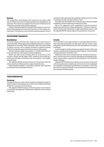#### **Estonia**

The competition environment was normal for the season with end-of-school and start-of-summer promotional campaigns by all operators. There were also targeted more-for-more initiatives by the competition towards certain market segments.

In April, Tele2 launched the Customer First initiative to end unsolicited telemarketing and focus more resources on the existing customer base. Furthermore, in June all three operators signed a Code of

#### **INVESTMENT MARKETS**

#### **Kazakhstan**

All market players extended their temporary zero-rated access to social networks, reflecting growing competitive pressure. To remain competitive in the market Tele2 continues to offer zero-rated access to popular services, and in addition launched an updated roaming offer with unlimited usage of selected services for both brands.

The net customer intake was positive at 100,000 (239,000), but lower than last year reflecting increasing competition.

Mobile end-user service revenue grew by 20 percent in local currency, driven both by higher ASPU, related to new tariffs supporting monetization of increased data consumption, and a higher customer base.

The adjusted EBITDA margin reached 34 (22) percent driven by better operational efficiency and an improved product mix.

Capex remained limited to 12 percent of revenue, but is expected to increase in the second half of the year.

Conduct for self-regulating telemarketing, stopping all cold-calling of residential mobile customers effective July 1.

Net adds were flat despite the continued loss of Starman mobile broadband customers following its takeover by Elisa.

Due to the aggressive price competition in previous quarters mobile end-user service revenue declined by 7 percent in local currency. However this represented a slight improvement over Q1, and the adjusted EBITDA margin improved sequentially to 20 percent.

#### **Croatia**

The competition was largely focused on convergent offers and shortterm extra data promotions through main and sub-brands. Tele2 continued to push Unlimited data for both smartphones and mobile broadband.

A partnership for mobile gaming was signed between Tele2 and Valiance, a platform for professional mobile eSports. The first mobile gaming tournament was held in June.

Mobile end-user service revenue grew by 13 percent in local currency, driven by growth in both the smartphone and mobile broadband customer bases, supported by the popularity of the Unlimited product offerings.

Adjusted EBITDA grew by two thirds in local currency on the back of the strong increase in mobile end-user service revenue and helped by a reduction of frequency fees effective as of January 1, 2018. The spectrum fee saving is reflected in an increased level of investments into enhanced network quality.

#### **CASH GENERATOR**

#### **Germany**

A continued focus on value-driven retention campaigns resulted in another quarter of decreasing churn rates and an expected revenue decline of 17 percent, in local currency.

The adjusted EBITDA margin of 48 (40) percent is the result of a successful management of operational expenses and customer credit risks.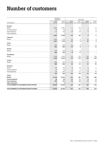### Number of customers

|                                          | Number of<br>customers |                       |                            |                          | Net intake                                                  |                    |
|------------------------------------------|------------------------|-----------------------|----------------------------|--------------------------|-------------------------------------------------------------|--------------------|
| by thousands                             | 2018<br><b>Jun 30</b>  | 2017<br>Jun 30        | 2018                       | 2017                     | 2018<br>Jan 1-Jun 30 Jan 1-Jun 30 Apr 1-Jun 30 Apr 1-Jun 30 | 2017               |
|                                          |                        |                       |                            |                          |                                                             |                    |
| Sweden                                   |                        |                       |                            |                          |                                                             |                    |
| Mobile                                   | 3,823<br>46            | 3,861<br>56           | $-11$<br>$-5$              | $-43$                    | $\sqrt{3}$<br>$-2$                                          | 10<br>$-3$         |
| Fixed broadband                          | 112                    |                       |                            | $-6$<br>$-18$            | $-5$                                                        |                    |
| Fixed telephony                          | $\mathbf{1}$           | 145<br>$\overline{a}$ | $-18$<br>$\qquad \qquad -$ |                          |                                                             | $-8$               |
| Other operations                         |                        |                       |                            | -67                      | -4                                                          | $-1$               |
| Lithuania                                | 3,982                  | 4,064                 | -34                        |                          |                                                             |                    |
| Mobile                                   | 1,834                  | 1,775                 | 42                         | 2                        | 26                                                          |                    |
|                                          | 1,834                  | 1,775                 | 42                         | $\overline{a}$           | 26                                                          | $\frac{8}{1}$<br>8 |
| Latvia                                   |                        |                       |                            |                          |                                                             |                    |
| Mobile                                   | 942                    | 954                   | $-10$                      | 9                        |                                                             | 12                 |
|                                          | 942                    | 954                   | $-10$                      | 9                        |                                                             | 12                 |
| Estonia                                  |                        |                       |                            |                          |                                                             |                    |
| Mobile                                   | 459                    | 474                   | $-5$                       | $-5$                     |                                                             |                    |
|                                          | 459                    | 474                   | $-5$                       | $-5$                     |                                                             |                    |
| <b>Kazakhstan</b>                        |                        |                       |                            |                          |                                                             |                    |
| Mobile                                   | 7,029                  | 6,753                 | 115                        | 313                      | 100                                                         | 239                |
|                                          | 7,029                  | 6,753                 | 115                        | 313                      | 100                                                         | 239                |
| Croatia                                  |                        |                       |                            |                          |                                                             |                    |
| Mobile                                   | 885                    | 822                   | 44                         | 21                       | 41                                                          | 34                 |
|                                          | 885                    | 822                   | 44                         | 21                       | 41                                                          | 34                 |
| Germany                                  |                        |                       |                            |                          |                                                             |                    |
| Mobile                                   | 134                    | 153                   | $-8$                       | $-16$                    | $-3$                                                        | $-7$               |
| Fixed broadband                          | 30                     | 40                    | $-5$                       | $-5$                     | $-2$                                                        | $-2$               |
| Fixed telephony                          | 174                    | 207                   | $-17$                      | $-21$                    | $-8$                                                        | $-10$              |
|                                          | 338                    | 400                   | $-30$                      | $-42$                    | $-13$                                                       | $-19$              |
| <b>TOTAL</b>                             |                        |                       |                            |                          |                                                             |                    |
| Mobile                                   | 15,106                 | 14,792                | 167                        | 281                      | 167                                                         | 296                |
| <b>Fixed broadband</b>                   | 76                     | 96                    | $-10$                      | $-11$                    | $-4$                                                        | $-5$               |
| <b>Fixed telephony</b>                   | 286                    | 352                   | $-35$                      | $-39$                    | $-13$                                                       | $-18$              |
| Other operations                         | $\mathbf{1}$           | $\overline{a}$        | -                          | $\overline{\phantom{0}}$ | $\qquad \qquad -$                                           |                    |
| TOTAL NUMBER OF CUSTOMERS AND NET INTAKE | 15,469                 | 15,242                | 122                        | 231                      | 150                                                         | 273                |
| TOTAL NUMBER OF CUSTOMERS AND NET CHANGE | 15,469                 | 15,242                | 122                        | 231                      | 150                                                         | 273                |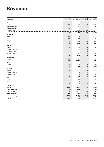### Revenue

| SEK million                 | 2018<br>Jan 1-Jun 30 | 2017<br>Jan 1-Jun 30     | 2018<br>Apr 1-Jun 30 | 2017<br>Apr 1-Jun 30 |
|-----------------------------|----------------------|--------------------------|----------------------|----------------------|
| Sweden                      |                      |                          |                      |                      |
| Mobile                      | 6,113                | 5,914                    | 3,065                | 2,944                |
| Fixed broadband             | 549                  | 641                      | 264                  | 314                  |
| Fixed telephony             | 157                  | 196                      | 77                   | 97                   |
| Other operations            | 1,023                | 998                      | 514                  | 509                  |
|                             | 7,842                | 7,749                    | 3,920                | 3,864                |
| Lithuania                   |                      |                          |                      |                      |
| Mobile                      | 1,136                | 918                      | 604                  | 479                  |
|                             | 1,136                | 918                      | 604                  | 479                  |
| Latvia                      |                      |                          |                      |                      |
| Mobile                      | 621                  | 536                      | 325                  | 279                  |
|                             | 621                  | 536                      | 325                  | 279                  |
| Estonia                     |                      |                          |                      |                      |
| Mobile                      | 353                  | 337                      | 179                  | 182                  |
| Fixed broadband             | 8                    | $\overline{\phantom{0}}$ | 5                    |                      |
| Fixed telephony             | $\mathbf{1}$         | 2                        |                      | $\mathbf{1}$         |
| Other operations            | 23                   | 21                       | 12                   | 11                   |
|                             | 385                  | 360                      | 196                  | 194                  |
| <b>Kazakhstan</b>           |                      |                          |                      |                      |
| Mobile                      | 1,471                | 1,359                    | 784                  | 711                  |
|                             | 1,471                | 1,359                    | 784                  | 711                  |
| Croatia                     |                      |                          |                      |                      |
| Mobile                      | 883                  | 769                      | 450                  | 410                  |
|                             | 883                  | 769                      | 450                  | 410                  |
| Germany                     |                      |                          |                      |                      |
| Mobile                      | 158                  | 172                      | 80                   | 85                   |
| Fixed broadband             | 44<br>75             | 53                       | 22                   | 26                   |
| Fixed telephony             |                      | 89                       | 36                   | 43                   |
| Other                       | 277                  | 314                      | 138                  | 154                  |
| Mobile                      | 94                   | 72                       | 51                   | 40                   |
| Other operations            | 73                   | 62                       | 41                   | 32                   |
|                             | 167                  | 134                      | 92                   | 72                   |
| <b>TOTAL</b>                |                      |                          |                      |                      |
| Mobile                      | 10,829               | 10,077                   | 5,538                | 5,130                |
| <b>Fixed broadband</b>      | 601                  | 694                      | 291                  | 340                  |
| Fixed telephony             | 233                  | 287                      | 113                  | 141                  |
| Other operations            | 1,119                | 1,081                    | 567                  | 552                  |
|                             | 12,782               | 12,139                   | 6,509                | 6,163                |
| Internal sales, elimination | $-31$                | $-22$                    | $-18$                | $-11$                |
| <b>TOTAL</b>                | 12,751               | 12,117                   | 6,491                | 6,152                |
|                             |                      |                          |                      |                      |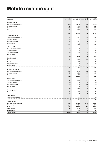### Mobile revenue split

|                          | 2018         | 2017         | 2018           | 2017           |
|--------------------------|--------------|--------------|----------------|----------------|
| SEK million              | Jan 1-Jun 30 | Jan 1-Jun 30 | Apr 1–Jun 30   | Apr 1-Jun 30   |
| Sweden, mobile           |              |              |                |                |
| End-user service revenue | 3,836        | 3,883        | 1,925          | 1,936          |
| Operator revenue         | 407          | 419          | 217            | 216            |
| Equipment revenue        | 1,573        | 1,309        | 775            | 642            |
| Other revenue            | 295          | 302          | 147            | 149            |
| Internal sales           | 2            | 1            | $\mathbf{1}$   | -1             |
|                          | 6,113        | 5,914        | 3,065          | 2,944          |
| Lithuania, mobile        |              |              |                |                |
| End-user service revenue | 637          | 541          | 335            | 282            |
| Operator revenue         | 118          | 107          | 63             | 55             |
| Equipment revenue        | 368          | 261          | 198            | 138            |
| Internal sales           | 13           | 9            | 8              | 4              |
|                          | 1,136        | 918          | 604            | 479            |
| Latvia, mobile           |              |              |                |                |
| End-user service revenue | 373          | 317          | 194            | 167            |
| Operator revenue         | 98           | 102          | 51             | 53             |
| Equipment revenue        | 141          | 110          | 75             | 56             |
| Internal sales           | 9            | 7            | 5              | 3              |
|                          | 621          | 536          | 325            | 279            |
| Estonia, mobile          |              |              |                |                |
| End-user service revenue | 214          | 220          | 110            | 112            |
| Operator revenue         | 43           | 38           | 24             | 20             |
| Equipment revenue        | 93           | 77           | 43             | 49             |
| Internal sales           | 3            | 2            | $\overline{2}$ | $\mathbf{1}$   |
|                          | 353          | 337          | 179            | 182            |
| Kazakhstan, mobile       |              |              |                |                |
| End-user service revenue | 1,147        | 1,039        | 613            | 545            |
| Operator revenue         | 313          | 308          | 167            | 160            |
| Equipment revenue        | 11           | 12           | $\overline{4}$ | 6              |
|                          | 1,471        | 1,359        | 784            | 711            |
| Croatia, mobile          |              |              |                |                |
| End-user service revenue | 532          | 430          | 272            | 224            |
| Operator revenue         | 104          | 106          | 60             | 60             |
| Equipment revenue        | 243          | 230          | 116            | 124            |
| Internal sales           | 4            | 3            | $\overline{2}$ | $\overline{2}$ |
|                          | 883          | 769          | 450            | 410            |
| Germany, mobile          |              |              |                |                |
| End-user service revenue | 158          | 172          | 80             | 85             |
|                          | 158          | 172          | 80             | 85             |
| Other, mobile            |              |              |                |                |
| End-user service revenue | 94           | 72           | 51             | 40             |
|                          | 94           | 72           | 51             | 40             |
| TOTAL, MOBILE            |              |              |                |                |
| End-user service revenue | 6,991        | 6,674        | 3,580          | 3,391          |
| Operator revenue         | 1,083        | 1,080        | 582            | 564            |
| <b>Equipment revenue</b> | 2,429        | 1,999        | 1,211          | 1,015          |
| Other revenue            | 295          | 302          | 147            | 149            |
| <b>Internal sales</b>    | 31           | 22           | 18             | 11             |
| TOTAL, MOBILE            | 10,829       | 10,077       | 5,538          | 5,130          |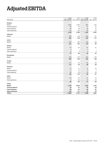# AdjustedEBITDA

|                        | 2018         | 2017         | 2018         | 2017           |
|------------------------|--------------|--------------|--------------|----------------|
| SEK million            | Jan 1-Jun 30 | Jan 1–Jun 30 | Apr 1-Jun 30 | Apr 1-Jun 30   |
| Sweden                 |              |              |              |                |
| Mobile                 | 1,887        | 1,925        | 962          | 927            |
| Fixed broadband        | 59           | 74           | 27           | 32             |
| Fixed telephony        | 48           | 56           | 25           | 31             |
| Other operations       | 114          | 130          | 28           | 53             |
|                        | 2,108        | 2,185        | 1,042        | 1,043          |
| Lithuania              |              |              |              |                |
| Mobile                 | 382          | 318          | 205          | 171            |
|                        | 382          | 318          | 205          | 171            |
| Latvia                 |              |              |              |                |
| Mobile                 | 223          | 183          | 120          | 95             |
|                        | 223          | 183          | 120          | 95             |
| Estonia                |              |              |              |                |
| Mobile                 | 62           | 82           | 32           | 41             |
| Fixed broadband        | 4            |              | 3            |                |
| Other operations       | $\hbox{9}$   | 6            | 5            | $\overline{3}$ |
|                        | 75           | 88           | 40           | 44             |
| Kazakhstan             |              |              |              |                |
| Mobile                 | 466          | 279          | 264          | 158            |
|                        | 466          | 279          | 264          | 158            |
| Croatia                |              |              |              |                |
| Mobile                 | 121          | 63           | 69           | 39             |
|                        | 121          | 63           | 69           | 39             |
| Germany                |              |              |              |                |
| Mobile                 | 67           | 51           | 37           | 25             |
| Fixed broadband        | 11           | 13           | 6            | $\overline{7}$ |
| Fixed telephony        | 48           | 59           | 23           | 29             |
|                        | 126          | 123          | 66           | 61             |
| Other                  |              |              |              |                |
| Mobile                 | $-49$        | $-47$        | $-31$        | $-18$          |
| Other operations       | 3            | $-35$        | 14           | $-12$          |
|                        | $-46$        | $-82$        | $-17$        | $-30$          |
| <b>TOTAL</b>           |              |              |              |                |
| Mobile                 | 3,159        | 2,854        | 1,658        | 1,438          |
| <b>Fixed broadband</b> | 74           | 87           | 36           | 39             |
| <b>Fixed telephony</b> | 96           | 115          | 48           | 60             |
| Other operations       | 126          | 101          | 47           | 44             |
| <b>TOTAL</b>           | 3,455        | 3,157        | 1,789        | 1,581          |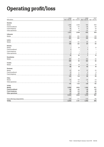# Operating profit/loss

|                               | 2018                     | 2017                     | 2018                     | 2017                     |
|-------------------------------|--------------------------|--------------------------|--------------------------|--------------------------|
| SEK million                   | Jan 1-Jun 30             | Jan 1-Jun 30             | Apr 1-Jun 30             | Apr 1-Jun 30             |
| Sweden                        |                          |                          |                          |                          |
| Mobile                        | 1,399                    | 1,449                    | 705                      | 693                      |
| Fixed broadband               | $-57$                    | $-53$                    | $-26$                    | $-29$                    |
| Fixed telephony               | 45                       | 51                       | 24                       | 29                       |
| Other operations              | $-10$                    | $-9$                     | $-31$                    | $-19$                    |
|                               | 1,377                    | 1,438                    | 672                      | 674                      |
| Lithuania                     |                          |                          |                          |                          |
| Mobile                        | 301                      | 251                      | 164                      | 136                      |
|                               | 301                      | 251                      | 164                      | 136                      |
| Latvia                        |                          |                          |                          |                          |
| Mobile                        | 156                      | 121                      | 87                       | 67                       |
|                               | 156                      | 121                      | 87                       | 67                       |
| Estonia                       |                          |                          |                          |                          |
| Mobile                        |                          | 29                       | $\mathbf{1}$             | 13                       |
| Fixed broadband               | 5                        | $\overline{\phantom{0}}$ | 3                        | $\overline{\phantom{0}}$ |
| Fixed telephony               | $\overline{\phantom{0}}$ | $\overline{\phantom{a}}$ | $\overline{\phantom{0}}$ | $\overline{\phantom{0}}$ |
| Other operations              | 5                        | 3                        | 3                        | $\overline{\mathbf{c}}$  |
|                               | 10                       | 32                       | $\mathbf{z}$             | 15                       |
| <b>Kazakhstan</b>             |                          |                          |                          |                          |
| Mobile                        | 266                      | 35                       | 162                      | 42                       |
|                               | 266                      | 35                       | 162                      | 42                       |
| Croatia                       |                          |                          |                          |                          |
| Mobile                        | 69                       | 19                       | 42                       | 16                       |
|                               | 69                       | 19                       | 42                       | 16                       |
| Germany                       |                          |                          |                          |                          |
| Mobile                        | 67                       | 48                       | 37                       | 23                       |
| Fixed broadband               | 10                       | 11                       | 5                        | 6                        |
| Fixed telephony               | 48                       | 59                       | 24                       | 29                       |
|                               | 125                      | 118                      | 66                       | 58                       |
| Other                         |                          |                          |                          |                          |
| Mobile                        | $-54$                    | $-49$                    | $-34$                    | $-19$                    |
| Other operations              | $-7$                     | $-63$                    | $\overline{4}$           | $-28$                    |
|                               | $-61$                    | $-112$                   | $-30$                    | $-47$                    |
| <b>TOTAL</b>                  |                          |                          |                          |                          |
| Mobile                        | 2,204                    | 1,903                    | 1,164                    | 971                      |
| <b>Fixed broadband</b>        | $-42$                    | $-42$                    | $-18$                    | $-23$                    |
| <b>Fixed telephony</b>        | 93                       | 110                      | 48                       | 58                       |
| Other operations              | $-12$                    | $-69$                    | $-24$                    | $-45$                    |
|                               | 2,243                    | 1,902                    | 1,170                    | 961                      |
|                               |                          |                          |                          |                          |
| Items affecting comparability | $-199$                   | $-171$                   | $-130$                   | -66                      |
| <b>TOTAL</b>                  | 2,044                    | 1,731                    | 1,040                    | 895                      |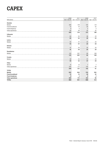# CAPEX

|                        | 2018         | 2017         | 2018           | 2017             |
|------------------------|--------------|--------------|----------------|------------------|
| SEK million            | Jan 1-Jun 30 | Jan 1-Jun 30 | Apr 1-Jun 30   | Apr 1-Jun 30     |
| Sweden                 |              |              |                |                  |
| Mobile                 | 265          | 178          | 154            | 119              |
| Fixed broadband        | 72           | 74           | 29             | $42\,$           |
| Fixed telephony        | 8            | 4            | 5              | 3                |
| Other operations       | 60           | 58           | 25             | 32               |
|                        | 405          | 314          | 213            | 196              |
| Lithuania              |              |              |                |                  |
| Mobile                 | 60           | 52           | 38             | 23               |
|                        | 60           | 52           | 38             | 23               |
| Latvia                 |              |              |                |                  |
| Mobile                 | 44           | 37           | 20             | 20               |
|                        | 44           | 37           | 20             | 20               |
| Estonia                |              |              |                |                  |
| Mobile                 | 41           | 34           | 24             | 20               |
|                        | 41           | 34           | 24             | 20               |
| Kazakhstan             |              |              |                |                  |
| Mobile                 | 133          | 297          | 94             | 168              |
|                        | 133          | 297          | 94             | 168              |
| Croatia                |              |              |                |                  |
| Mobile                 | 48           | 32           | 37             | 25               |
|                        | 48           | 32           | 37             | 25               |
| Other                  |              |              |                |                  |
| Mobile                 | 14           | 10           | $\overline{7}$ | $\boldsymbol{7}$ |
| Other operations       | 235          | 117          | 135            | 54               |
|                        | 249          | 127          | 142            | 61               |
| <b>TOTAL</b>           |              |              |                |                  |
| Mobile                 | 605          | 640          | 374            | 382              |
| <b>Fixed broadband</b> | 72           | 74           | 29             | 42               |
| <b>Fixed telephony</b> | 8            | 4            | 5              | 3                |
| Other operations       | 295          | 175          | 160            | 86               |
| <b>TOTAL</b>           | 980          | 893          | 568            | 513              |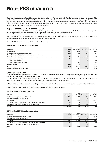### Non-IFRS measures

This report contains certain financial measures that are not defined by IFRS, but are used by Tele2 to assess the financial performance of the business. These measures are included in the report as they are considered important supplementary measures of operating performance and liquidity. They should not be considered a substitute to Tele2's financial statements prepared in accordance with IFRS. Tele2's definitions of these measures are described below, but other companies may calculate non-IFRS measures differently and these measures are therefore not always comparable to similar measures used by other companies.

#### **Adjusted EBITDA and adjusted EBITDA margin**

Tele2 considers adjusted EBITDA and adjusted EBITDA margin to be relevant measures to present in order to illustrate the profitability of the underlying business, and as these are used by management to assess the performance of the business.

*Adjusted EBITDA: Operating profit/loss from continuing operations before depreciation/amortization and impairment, results from shares in joint ventures and associated companies and items affecting comparability.*

*Adjusted EBITDA margin: Adjusted EBITDA in relation to revenue.*

#### Adjusted EBITDA and adjusted EBITDA margin

|                                                                | 2018         | 2017         | 2018         | 2017         |
|----------------------------------------------------------------|--------------|--------------|--------------|--------------|
| SEK million                                                    | Jan 1–Jun 30 | Jan 1–Jun 30 | Apr 1–Jun 30 | Apr 1-Jun 30 |
| Operating profit                                               | 2.044        | 1.731        | 1.040        | 895          |
| Depreciation/amortization and impairment                       | 1.226        | 1.256        | 619          | 621          |
| Results from shares in joint ventures and associated companies | $-14$        | -1           |              | $-1$         |
| Items affecting comparability                                  | 199          | 171          | 130          | 66           |
| whereof acquisition costs                                      | 160          |              | 111          |              |
| whereof integration costs                                      | 39           | 111          | 19           | 30           |
| whereof Challenger Program costs                               |              | 59           |              | 35           |
| <b>Adjusted EBITDA</b>                                         | 3,455        | 3.157        | 1.789        | 1,581        |
| Revenue                                                        | 12.751       | 12.117       | 6.491        | 6.152        |
| Adjusted EBITDA margin (percent)                               | 27%          | 26%          | 28%          | 26%          |

#### **CAPEX paid and CAPEX**

Tele2 considers CAPEX paid relevant to present as it provides an indication of how much the company invests organically on intangible and tangible assets to maintain and expand its business.

Tele2 believes that it is relevant to present CAPEX to provide a view on how much Tele2 invests organically on intangible and tangible assets to maintain and grow its business which is not dependent on the timing of cash payments.

*CAPEX paid: Cash paid for the additions to intangible and tangible assets net of cash proceeds from sales of intangible and tangible assets.*

*CAPEX: Additions to intangible and tangible assets that are capitalized on the balance sheet.*

#### CAPEX paid and CAPEX, total operations

|                                                                 | 2018         | 2017     | 2018                                   | 2017   |
|-----------------------------------------------------------------|--------------|----------|----------------------------------------|--------|
| SEK million                                                     | Jan 1–Jun 30 |          | Jan 1-Jun 30 Apr 1-Jun 30 Apr 1-Jun 30 |        |
| Additions to intangible and tangible assets                     | $-1.534$     | $-1.709$ | $-685$                                 | $-854$ |
| Sale of intangible and tangible assets                          | 19           | 9        | 10                                     |        |
| <b>CAPEX</b> paid                                               | $-1.515$     | $-1.700$ | $-675$                                 | $-854$ |
| This period's unpaid CAPEX and paid CAPEX from previous periods | 167          | 316      | $-83$                                  | 84     |
| Received payment of sold intangible and tangible assets         | $-19$        | -9       | $-10$                                  |        |
| <b>CAPEX</b>                                                    | $-1.367$     | $-1.393$ | $-768$                                 | $-770$ |

#### CAPEX paid and CAPEX, continuing operations

|                                                                 | 2018         | 2017     | 2018                                   | 2017   |
|-----------------------------------------------------------------|--------------|----------|----------------------------------------|--------|
| SEK million                                                     | Jan 1–Jun 30 |          | Jan 1-Jun 30 Apr 1-Jun 30 Apr 1-Jun 30 |        |
| Additions to intangible and tangible assets                     | $-954$       | $-1.168$ | $-495$                                 | $-588$ |
| Sale of intangible and tangible assets                          | 19           | 9        | 10                                     |        |
| <b>CAPEX</b> paid                                               | $-935$       | $-1.159$ | $-485$                                 | $-588$ |
| This period's unpaid CAPEX and paid CAPEX from previous periods | $-26$        | 275      | $-73$                                  | 75     |
| Received payment of sold intangible and tangible assets         | $-19$        | -9       | $-10$                                  |        |
| <b>CAPEX</b>                                                    | $-980$       | $-893$   | $-568$                                 | $-513$ |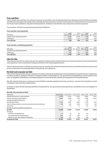#### **Free cash flow**

Tele2 considers free cash flow to be relevant to present as it provides a view of funds generated from operating activities which also includes investments in intangible and tangible assets. Management believes that free cash flow is meaningful to investors because it is the measure of the Group's funds available for acquisition related payments, dividends to shareholders, share repurchases and debt repayment.

*Free cash flow: Cash flow from operating activities less CAPEX paid.*

#### Free cash flow, total operations

|                                     | 2018     | 2017                                                | 2018   | 2017 |
|-------------------------------------|----------|-----------------------------------------------------|--------|------|
| SEK million                         |          | Jan 1–Jun 30 Jan 1–Jun 30 Apr 1–Jun 30 Apr 1–Jun 30 |        |      |
| Cash flow from operating activities | 2.094    | 2.698                                               | .186   | .674 |
| CAPEX paid                          | $-1.515$ | $-1.700$                                            | $-675$ | -854 |
| Free cash flow                      | 579      | 998                                                 | 511    | 820  |

#### Free cash flow, continuing operations

| SEK million                         | 2018   | 2017     | 2018<br>Jan 1-Jun 30 Jan 1-Jun 30 Apr 1-Jun 30 Apr 1-Jun 30 | 2017   |
|-------------------------------------|--------|----------|-------------------------------------------------------------|--------|
| Cash flow from operating activities | .982   | 2,535    | 1,159                                                       | .560   |
| CAPEX paid                          | $-935$ | $-1.159$ | $-485$                                                      | $-588$ |
| Free cash flow                      | 1.047  | 1.376    | 674                                                         | 972    |

#### **Like-for-like**

Tele2 believes that like-for-like growth rates are relevant to present as they exclude effects from currency movements as well as divestments and acquisitions, and are therefore providing an indication of the underlying performance.

*Like-for-like growth rates: Calculated at constant currency, meaning that comparative figures have been recalculated using the currency rates for the current period, and excluding effects of divestments and acquisitions.*

#### **Net debt and economic net debt**

Tele2 believes that net debt is relevant to present as it is useful to illustrate the indebtedness, financial flexibility, and capital structure. Furthermore, economic net debt is considered relevant as it excludes liabilities to Kazakhtelecom, loan guaranteed by Kazakhtelecom and the liability for the earn-out obligation in Kazakhstan, and thereby taking into account the specific contractual arrangements in the Kazakh business.

*Net debt: Interest-bearing non-current and current liabilities excluding equipment financing, provisions, cash and cash equivalents, current investments, restricted cash and derivatives.*

*Economic net debt: Net debt excluding liabilities to Kazakhtelecom, loan guaranteed by Kazakhtelecom and liability for earn-out obligation in Kazakhstan.*

#### Net debt and economic net debt

| SEK million                                                       | Jun 30, 2018 | Jun 30, 2017 | Dec 31, 2017 | Dec 31, 2016 | Dec 31, 2015 |
|-------------------------------------------------------------------|--------------|--------------|--------------|--------------|--------------|
| Interest-bearing non-current liabilities                          | 11.044       | 11.572       | 11,565       | 8.954        | 5,613        |
| Interest-bearing current liabilities                              | 2,607        | 2,639        | 820          | 3.388        | 5,372        |
| Excluding equipment financing                                     |              | $-34$        | -8           | $-70$        |              |
| Excluding provisions                                              | $-1,126$     | $-1,393$     | $-1.080$     | $-1,310$     | $-920$       |
| Cash & cash equivalents, current investments and restricted funds | $-320$       | $-322$       | $-806$       | $-279$       | $-139$       |
| Derivatives                                                       |              | $-17$        | $-17$        | $-55$        | $-48$        |
| Net debt for assets classified as held for sale                   |              |              |              |              |              |
| Net debt                                                          | 12,205       | 12,445       | 10.474       | 10,628       | 9,878        |
| Excluding:                                                        |              |              |              |              |              |
| - liabilities to Kazakhtelecom                                    | $-31$        | $-25$        | $-26$        | $-24$        |              |
| - loan guaranteed by Kazakhtelecom                                | $-259$       | $-176$       | $-246$       | $-67$        |              |
| - liability for earn-out obligation Kazakhstan                    | $-558$       | $-221$       | $-432$       | $-100$       |              |
| Economic net debt                                                 | 11,357       | 12.023       | 9,770        | 10.437       | 9,878        |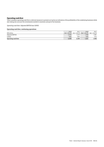### **Operating cash flow**

Tele2 considers operating cash flow a relevant measure to present as it gives an indication of the profitability of the underlying business while also taking into account the investments needed to maintain and grow the business.

*Operating cash flow: Adjusted EBITDA less CAPEX.*

#### Operating cash flow, continuing operations

|                     | 2018   | 2017   | 2018                                                | 2017   |
|---------------------|--------|--------|-----------------------------------------------------|--------|
| SEK million         |        |        | Jan 1-Jun 30 Jan 1-Jun 30 Apr 1-Jun 30 Apr 1-Jun 30 |        |
| Adjusted EBITDA     | 3.455  | 3.157  | 1.789                                               | l,581  |
| CAPEX               | $-980$ | $-893$ | $-568$                                              | $-513$ |
| Operating cash flow | 2.475  | 2,264  | 1,221                                               | 880,1  |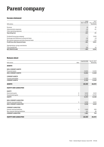### Parent company

#### **Income statement**

| SEK million                                     | 2018<br>Jan 1-Jun 30 | 2017<br>Jan 1-Jun 30<br>(Restated) |
|-------------------------------------------------|----------------------|------------------------------------|
|                                                 |                      |                                    |
| Revenue                                         | 26                   | 30                                 |
| Administrative expenses                         | $-62$                | $-61$                              |
| Other operating expenses                        | $-185$               |                                    |
| Operating loss                                  | $-221$               | $-31$                              |
|                                                 |                      |                                    |
| Dividend from group company                     |                      | 7,000                              |
| Exchange rate difference on financial items     | $-92$                | $-18$                              |
| Net interest expenses and other financial items | $-148$               | $-150$                             |
| Profit/loss after financial items               | $-461$               | 6.801                              |
|                                                 |                      |                                    |
| Appropriations, group contribution              |                      |                                    |
| Tax on profit/loss                              | 104                  | 44                                 |
| <b>NET PROFIT/LOSS</b>                          | $-357$               | 6.845                              |

#### **Balance sheet**

| SEK million<br>Note               | Jun 30, 2018 | Dec 31, 2017<br>(Restated) |
|-----------------------------------|--------------|----------------------------|
|                                   |              |                            |
| <b>ASSETS</b>                     |              |                            |
| <b>NON-CURRENT ASSETS</b>         |              |                            |
| Financial assets                  | 13,604       | 13,608                     |
| <b>NON-CURRENT ASSETS</b>         | 13,604       | 13,608                     |
| <b>CURRENT ASSETS</b>             |              |                            |
| Current receivables               | 11,743       | 13,065                     |
| <b>CURRENT ASSETS</b>             | 11,743       | 13,065                     |
| <b>ASSETS</b>                     | 25,347       | 26,673                     |
| <b>EQUITY AND LIABILITIES</b>     |              |                            |
| <b>EQUITY</b>                     |              |                            |
| 8<br>Restricted equity            | 5,619        | 5,619                      |
| 8<br>Unrestricted equity          | 8,138        | 10,470                     |
| <b>EQUITY</b>                     | 13,757       | 16,089                     |
| <b>NON-CURRENT LIABILITIES</b>    |              |                            |
| 5<br>Interest-bearing liabilities | 9,709        | 9,830                      |
| <b>NON-CURRENT LIABILITIES</b>    | 9,709        | 9,830                      |
| <b>CURRENT LIABILITIES</b>        |              |                            |
| 5<br>Interest-bearing liabilities | 1,640        | 656                        |
| Non-interest-bearing liabilities  | 241          | 98                         |
| <b>CURRENT LIABILITIES</b>        | 1,881        | 754                        |
| <b>EQUITY AND LIABILITIES</b>     | 25,347       | 26,673                     |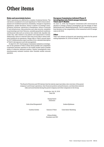### Other items

#### **Risks and uncertainty factors**

Tele2's operations are affected by a number of external factors. The risk factors considered to be most significant to Tele2's future development are insufficient spectrum availability, changes in regulatory legislation, market dynamics, failure to deliver on strategic transformation initiatives, operations in Kazakhstan, failure of network IT and infrastructure, data protection and cyber security, instability in partnerships and Joint Ventures, unstable geopolitical conditions, and financial risks such as currency risk, interest risk, liquidity risk, credit risk, risks related to tax matters and impairment of assets. Additionally, there is a risk that Tele2 may not be able to obtain sufficient funding for its operations. Please refer to Tele2's annual report for 2017 (Administration report and Note 2) for a detailed description of Tele2's risk exposure and risk management.

On April 25, 2017, the European Commission initiated an investigation on the premises of Tele2 in Kista about possible anti-competitive cooperation between operators in the mobile market and/or possible abuse of collective dominant position. Similar investigations were simultaneously initiated towards other Swedish mobile network operators.

#### **European Commission initiated Phase II investigation into Dutch merger between Tele2 and T-Mobile**

On June 12, 2018, the European Commission (EC) announced its decision to initiate a Phase II investigation into the merger of Tele2 Netherlands and T-Mobile Netherlands. The EC is expected to reach a final decision on the compatibility of the transaction with EU merger rules in Q4 2018.

#### **Other**

Tele2 will release its financial and operating results for the period ending September 30, 2018 on October 18, 2018.

The Board of Directors and CEO declare that the interim report provides a fair overview of the parent company's and Group's operations, their financial position and performance, and describes material risks and uncertainties facing the parent company and other companies in the Group.

> Stockholm, July 18, 2018 Tele2 AB

> > Georgi Ganev *Chairman*

Sofia Arhall Bergendorff Anders Björkman

Cynthia Gordon Eamonn O'Hare Carla Smits-Nusteling

Allison Kirkby *President and CEO*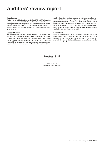### Auditors' review report

#### **Introduction**

We have reviewed the interim report for Tele2 AB (publ) for the period January 1 – June 30, 2018. The Board of Directors and the President are responsible for the preparation and presentation of this interim report in accordance with IAS 34 and the Annual Accounts Act. Our responsibility is to express a conclusion on this interim report based on our review.

#### **Scope of Review**

We conducted our review in accordance with the International Standard on Review Engagements ISRE 2410, Review of Interim Financial Information Performed by the Independent Auditor of the Entity. A review consists of making inquiries, primarily of persons responsible for financial and accounting matters, and applying analytical and other review procedures. A review has a different focus and is substantially less in scope than an audit conducted in accordance with ISA and other generally accepted auditing practices. The procedures performed in a review do not enable us to obtain a level of assurance that would make us aware of all significant matters that might be identified in an audit. Therefore, the conclusion expressed based on a review does not give the same level of assurance as a conclusion expressed based on an audit.

#### **Conclusion**

Based on our review, nothing has come to our attention that causes us to believe that the interim report is not, in all material respects, prepared for the Group in accordance with IAS 34 and the Annual Accounts Act, and for the Parent Company in accordance with the Annual Accounts Act.

Stockholm, July 18, 2018 Deloitte AB

Pontus Pålsson *Authorized Public Accountant*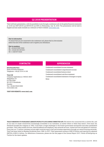### Q2 2018 PRESENTATION

Tele2 will host a presentation, with the possibility to join through a conference call, for the global financial community at 10:00 am CEST (09:00 am BST/04:00 am EDT) on Wednesday, July 18, 2018. The presentation will be held in English and also made available as a webcast on Tele2's website: www.tele2.com.

#### Dial-in information

To ensure that you are connected to the conference call, please dial in a few minutes before the start of the conference call to register your attendance.

#### Dial-in numbers SE: +46 (0) 8 5065 3942 UK: +44 (0) 330 336 9411 US: +1 929 477 0324

Erik Strandin Pers Head of Investor Relations Telephone: +46 (0) 733 41 41 88

#### Tele2 AB

Company registration nr: 556410-8917 Skeppsbron 18 P.O. Box 2094 SE-103 13 Stockholm Sweden Tel + 46 (0) 8 5620 0060 www.tele2.com

VISIT OUR WEBSITE: www.tele2.com

### CONTACTS APPENDICES

Condensed consolidated income statement Condensed consolidated comprehensive income Condensed consolidated balance sheet Condensed consolidated cash flow statement Condensed consolidated statement of changes in equity Notes

TELE2'S MISSION IS TO FEARLESSLY LIBERATE PEOPLE TO LIVE A MORE CONNECTED LIFE. We believe the connected life is a better life, and so our aim is to make connectivity increasingly accessible to our customers, no matter where or when they need it. Ever since Jan Stenbeck founded the company in 1993, it has been a tough challenger to the former government monopolies and other established providers. Tele2 offers mobile services, fixed broadband and telephony, data network services, content services and global IoT solutions. Every day our 17 million customers across eight countries enjoy a fast and wireless experience through our award winning networks. Tele2 has been listed on Nasdaq Stockholm since 1996. In 2017, Tele2 generated revenue of SEK 25 billion and reported an adjusted EBITDA of SEK 6.4 billion. For definitions of measures, please see the last pages of the Annual Report 2017. Follow @Tele2group on Twitter for the latest updates.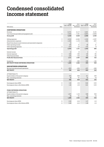### Condensed consolidated income statement

| SEK million                                                   | Note           | 2018<br>Jan 1-Jun 30 | 2017<br>Jan 1-Jun 30<br>(Restated) | 2018<br>Apr 1-Jun 30     | 2017<br>Apr 1-Jun 30<br>(Restated) |
|---------------------------------------------------------------|----------------|----------------------|------------------------------------|--------------------------|------------------------------------|
|                                                               |                |                      |                                    |                          |                                    |
| <b>CONTINUING OPERATIONS</b>                                  |                |                      |                                    |                          |                                    |
| Revenue                                                       |                | 12,751               | 12,117                             | 6,491                    | 6,152                              |
| Cost of services provided and equipment sold                  | 3              | $-7.492$             | $-7,191$                           | $-3,803$                 | $-3,606$                           |
| Gross profit                                                  |                | 5,259                | 4,926                              | 2,688                    | 2,546                              |
| Selling expenses                                              | 3              | $-2,016$             | $-2,046$                           | $-1.016$                 | $-1.057$                           |
| Administrative expenses                                       | 3              | $-1,086$             | $-1,178$                           | $-548$                   | $-607$                             |
| Result from shares in joint ventures and associated companies |                | 14                   | 1                                  | $\overline{\phantom{0}}$ | -1                                 |
| Other operating income                                        |                | 106                  | 51                                 | 48                       | 21                                 |
| Other operating expenses                                      | 3              | $-233$               | $-23$                              | $-132$                   | $-9$                               |
| Operating profit                                              |                | 2,044                | 1,731                              | 1,040                    | 895                                |
| Interest income                                               |                | 12                   | 10                                 | $\overline{2}$           | 5                                  |
| Interest expenses                                             | 5              | $-180$               | $-169$                             | $-94$                    | $-84$                              |
| Other financial items                                         | $\overline{4}$ | $-165$               | $-125$                             | $-82$                    | $-94$                              |
| Profit after financial items                                  |                | 1,711                | 1,447                              | 866                      | 722                                |
| Income tax                                                    | 4              | $-416$               | $-385$                             | $-196$                   | $-192$                             |
| <b>NET PROFIT FROM CONTINUING OPERATIONS</b>                  |                | 1,295                | 1.062                              | 670                      | 530                                |
| <b>DISCONTINUED OPERATIONS</b>                                |                |                      |                                    |                          |                                    |
| Net loss from discontinued operations                         | 11             | $-503$               | $-454$                             | $-227$                   | $-290$                             |
| <b>NET PROFIT</b>                                             |                | 792                  | 608                                | 443                      | 240                                |
|                                                               |                |                      |                                    |                          |                                    |
| <b>ATTRIBUTABLE TO</b>                                        |                |                      | 669                                |                          |                                    |
| Equity holders of the parent company                          |                | 754<br>38            | $-61$                              | 411<br>32                | 259<br>$-19$                       |
| Non-controlling interests                                     |                |                      |                                    |                          |                                    |
| <b>NET PROFIT</b>                                             |                | 792                  | 608                                | 443                      | 240                                |
| Earnings per share (SEK)                                      | 8              | 1.50                 | 1.34                               | 0.82                     | 0.53                               |
| Earnings per share, after dilution (SEK)                      | 8              | 1.49                 | 1.33                               | 0.81                     | 0.53                               |
|                                                               |                |                      |                                    |                          |                                    |
| <b>FROM CONTINUING OPERATIONS</b>                             |                |                      |                                    |                          |                                    |
| <b>ATTRIBUTABLE TO</b>                                        |                |                      |                                    |                          |                                    |
| Equity holders of the parent company                          |                | 1,257                | 1,123                              | 638                      | 549                                |
| Non-controlling interests                                     |                | 38                   | -61                                | 32                       | $-19$                              |
| <b>NET PROFIT</b>                                             |                | 1,295                | 1,062                              | 670                      | 530                                |
| Earnings per share (SEK)                                      | 8              | 2.50                 | 2.24                               | 1.27                     | 1.10                               |
| Earnings per share, after dilution (SEK)                      | 8              | 2.49                 | 2.23                               | 1.26                     | 1.10                               |
|                                                               |                |                      |                                    |                          |                                    |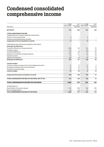### Condensed consolidated comprehensive income

| SEK million                                                         | 2018<br>Jan 1-Jun 30 | 2017<br>Jan 1-Jun 30<br>(Restated) | 2018<br>Apr 1-Jun 30 | 2017<br>Apr 1-Jun 30<br>(Restated) |
|---------------------------------------------------------------------|----------------------|------------------------------------|----------------------|------------------------------------|
| <b>NET PROFIT</b>                                                   | 792                  | 608                                | 443                  | 240                                |
| OTHER COMPREHENSIVE INCOME                                          |                      |                                    |                      |                                    |
| COMPONENTS NOT TO BE RECLASSIFIED TO NET PROFIT                     |                      |                                    |                      |                                    |
| Pensions, actuarial gains/losses                                    | -8                   | $\overline{\phantom{0}}$           | -8                   |                                    |
| Pensions, actuarial gains/losses, tax effect                        | $\overline{a}$       | -                                  | $\overline{2}$       |                                    |
| Components not to be reclassified to net profit                     | $-6$                 |                                    | $-6$                 |                                    |
| COMPONENTS THAT MAY BE RECLASSIFIED TO NET PROFIT                   |                      |                                    |                      |                                    |
| Exchange rate differences                                           |                      |                                    |                      |                                    |
| Translation differences in foreign operations                       | 1,084                | 136                                | 241                  | 59                                 |
| Tax effect on above                                                 | $-137$               | 4                                  | $-24$                | 34                                 |
| <b>Translation differences</b>                                      | 947                  | 140                                | 217                  | 93                                 |
| Hedge of net investments in foreign operations                      | $-197$               | $-37$                              | $-44$                | $-44$                              |
| Tax effect on above                                                 | 43                   | 8                                  | 9                    | 10                                 |
| Hedge of net investments                                            | $-154$               | $-29$                              | -35                  | -34                                |
| <b>Exchange rate differences</b>                                    | 793                  | 111                                | 182                  | 59                                 |
| <b>Cash flow hedges</b>                                             |                      |                                    |                      |                                    |
| Profit/loss arising on changes in fair value of hedging instruments | $-17$                | 13                                 | $-17$                | 6                                  |
| Reclassified cumulative loss to income statement                    | 53                   | 36                                 | 35                   | 18                                 |
| Tax effect on cash flow hedges                                      | $-10$                | $-11$                              | $-6$                 | $-6$                               |
| <b>Cash flow hedges</b>                                             | 26                   | 38                                 | 12                   | 18                                 |
| Components that may be reclassified to net profit                   | 819                  | 149                                | 194                  | 77                                 |
| OTHER COMPREHENSIVE INCOME FOR THE PERIOD, NET OF TAX               | 813                  | 149                                | 188                  | 77                                 |
| TOTAL COMPREHENSIVE INCOME FOR THE PERIOD                           | 1,605                | 757                                | 631                  | 317                                |
|                                                                     |                      |                                    |                      |                                    |
| <b>ATTRIBUTABLE TO</b>                                              |                      |                                    |                      |                                    |
| Equity holders of the parent company                                | 1.571                | 806                                | 594                  | 306                                |
| Non-controlling interests                                           | 34                   | $-49$                              | 37                   | 11                                 |
| TOTAL COMPREHENSIVE INCOME FOR THE PERIOD                           | 1,605                | 757                                | 631                  | 317                                |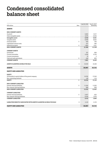### Condensed consolidated balance sheet

| SEK million                                                             | Note           | Jun 30, 2018 | Dec 31, 2017<br>(Restated) |
|-------------------------------------------------------------------------|----------------|--------------|----------------------------|
| <b>ASSETS</b>                                                           |                |              |                            |
| <b>NON-CURRENT ASSETS</b>                                               |                |              |                            |
| Goodwill                                                                |                | 5,683        | 5,517                      |
| Other intangible assets                                                 |                | 4,075        | 4,044                      |
| Intangible assets                                                       |                | 9,758        | 9,561                      |
| Tangible assets                                                         |                | 8,698        | 8,692                      |
| Financial assets                                                        | 5              | 939          | 794                        |
| Capitalized contract costs                                              |                | 327          | 380                        |
| Deferred tax assets                                                     | $\overline{4}$ | 1,864        | 1,911                      |
| <b>NON-CURRENT ASSETS</b>                                               |                | 21,586       | 21,338                     |
| <b>CURRENT ASSETS</b>                                                   |                |              |                            |
| Inventories                                                             |                | 797          | 689                        |
| Current receivables                                                     |                | 6,766        | 6,726                      |
| Current investments                                                     |                | 70           | 3                          |
| Cash and cash equivalents                                               | 6              | 248          | 802                        |
| <b>CURRENT ASSETS</b>                                                   |                | 7,881        | 8,220                      |
| ASSETS CLASSIFIED AS HELD FOR SALE                                      | 11             | 10,530       | 10,166                     |
| <b>ASSETS</b>                                                           |                | 39,997       | 39,724                     |
| <b>EQUITY AND LIABILITIES</b>                                           |                |              |                            |
| <b>EQUITY</b>                                                           |                |              |                            |
| Attributable to equity holders of the parent company                    |                | 16,782       | 17.246                     |
| Non-controlling interests                                               |                | $-80$        | $-114$                     |
| <b>EQUITY</b>                                                           | 8              | 16,702       | 17,132                     |
| <b>NON-CURRENT LIABILITIES</b>                                          |                |              |                            |
| Interest-bearing liabilities                                            | 5              | 11,044       | 11,565                     |
| Non-interest-bearing liabilities                                        |                | 988          | 998                        |
| <b>NON-CURRENT LIABILITIES</b>                                          |                | 12,032       | 12,563                     |
| <b>CURRENT LIABILITIES</b>                                              |                |              |                            |
| Interest-bearing liabilities                                            | 5              | 2,607        | 820                        |
| Non-interest-bearing liabilities                                        |                | 6,536        | 7,074                      |
| <b>CURRENT LIABILITIES</b>                                              |                | 9,143        | 7,894                      |
| LIABILITIES DIRECTLY ASSOCIATED WITH ASSETS CLASSIFIED AS HELD FOR SALE | 11             | 2,120        | 2,135                      |
| <b>EQUITY AND LIABILITIES</b>                                           |                | 39,997       | 39,724                     |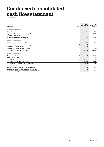### Condensed consolidated cash flow statement

*(Total operations)*

|                                                        |      | 2018<br>Jan 1-Jun 30 | 2017<br>Jan 1-Jun 30 |
|--------------------------------------------------------|------|----------------------|----------------------|
| SEK million                                            | Note |                      | (Restated)           |
| <b>OPERATING ACTIVITIES</b>                            |      |                      |                      |
| Net profit                                             |      | 792                  | 608                  |
| Adjustments for non-cash items in net profit           |      | 1.884                | 2.153                |
| Changes in working capital                             |      | $-582$               | $-63$                |
| Cash flow from operating activities                    |      | 2,094                | 2,698                |
| <b>INVESTING ACTIVITIES</b>                            |      |                      |                      |
| Additions to intangible and tangible assets            |      | $-1,515$             | $-1,700$             |
| Acquisition and sale of shares and participations      | 9    | $-3$                 | $-8$                 |
| Other financial assets, lending                        |      | $-66$                |                      |
| Other financial assets, received payments              |      |                      | 20                   |
| Cash flow from investing activities                    |      | $-1.584$             | $-1.688$             |
| <b>FINANCING ACTIVITIES</b>                            |      |                      |                      |
| Proceeds from loans                                    | 5    | 1,459                | 4,520                |
| Repayments of loans                                    | 5    | $-542$               | $-2,844$             |
| Dividends paid                                         | 8    | $-2.013$             | $-2,629$             |
| Cash flow from financing activities                    |      | $-1.096$             | $-953$               |
| NET CHANGE IN CASH AND CASH EQUIVALENTS                |      | $-586$               | 57                   |
| Cash and cash equivalents at beginning of period       |      | 802                  | 257                  |
| Exchange rate differences in cash and cash equivalents |      | 32                   | 4                    |
| CASH AND CASH EQUIVALENTS AT END OF THE PERIOD         | 6    | 248                  | 318                  |
|                                                        |      |                      |                      |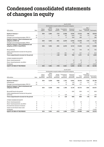### Condensed consolidated statements of changes in equity

|                                                                              |             | Jun 30, 2018     |                             |                  |                                                      |                      |          |                     |                          |
|------------------------------------------------------------------------------|-------------|------------------|-----------------------------|------------------|------------------------------------------------------|----------------------|----------|---------------------|--------------------------|
|                                                                              |             |                  |                             |                  | Attributable to equity holders of the parent company |                      |          |                     |                          |
| SEK million                                                                  | <b>Note</b> | Share<br>capital | Other<br>paid-in<br>capital | Hedge<br>reserve | Translation<br>reserve                               | Retained<br>earnings | Total    | Non-<br>controlling | interests   Total equity |
| <b>Equity at January 1</b>                                                   |             | 634              | 7,841                       | $-715$           | 2,506                                                | 6,747                | 17,013   | $-99$               | 16,914                   |
| Restatement                                                                  | 10          |                  |                             | 64               | 147                                                  | $-264$               | $-53$    | $-15$               | $-68$                    |
| Change in accounting principles, IFRS 15                                     | 10          |                  |                             |                  | 17                                                   | 269                  | 286      |                     | 286                      |
| Equity at January 1 (post restatement and<br>adoption of IFRS 15)            |             | 634              | 7,841                       | $-651$           | 2,670                                                | 6,752                | 17,246   | $-114$              | 17,132                   |
| Change in accounting principles, IFRS 9                                      |             |                  |                             |                  |                                                      | $-42:$               | $-42$    |                     | $-42$                    |
| Equity at January 1 (post restatement and<br>adoption of IFRS 15 and IFRS 9) |             | 634              | 7,841                       | $-651$           | 2,670                                                | 6,710                | 17,204   | $-114$              | 17,090                   |
| Net profit/loss                                                              |             |                  |                             |                  |                                                      | 754                  | 754      | 38                  | 792                      |
| Other comprehensive income for the period.<br>net of tax                     |             |                  |                             | $-128$           | 951                                                  | $-6$                 | 817      | $-4$                | 813                      |
| Total comprehensive income for the period                                    |             |                  |                             | $-128$           | 951                                                  | 748                  | 1,571    | 34                  | 1,605                    |
| OTHER CHANGES IN EQUITY                                                      |             |                  |                             |                  |                                                      |                      |          |                     |                          |
| Share-based payments                                                         | 8           |                  |                             |                  |                                                      | 12                   | 12       |                     | 12                       |
| Share-based payments, tax effect                                             | 8           |                  |                             |                  |                                                      | 8                    | 8        |                     | 8                        |
| Dividends                                                                    | 8           |                  |                             |                  |                                                      | $-2,013$             | $-2,013$ |                     | $-2,013$                 |
| <b>EQUITY AT END OF THE PERIOD</b>                                           |             | 634              | 7,841                       | $-779$           | 3,621                                                | 5,465                | 16,782   | $-80$               | 16,702                   |

|                                                                   |      | Jun 30, 2017                   |                                           |                                |                                                      |                                    |                     |                                   |                                        |
|-------------------------------------------------------------------|------|--------------------------------|-------------------------------------------|--------------------------------|------------------------------------------------------|------------------------------------|---------------------|-----------------------------------|----------------------------------------|
|                                                                   |      |                                |                                           |                                | Attributable to equity holders of the parent company |                                    |                     |                                   |                                        |
| SEK million                                                       | Note | Share<br>capital<br>(Restated) | Other<br>paid-in<br>capital<br>(Restated) | Hedge<br>reserve<br>(Restated) | Translation<br>reserve<br>(Restated)                 | Retained<br>earnings<br>(Restated) | Total<br>(Restated) | Non-<br>controlling<br>(Restated) | interests   Total equity<br>(Restated) |
| <b>Equity at January 1</b>                                        |      | 634                            | 7,836                                     | -680                           | 1,743                                                | 8,941                              | 18,474              | $-278$                            | 18,196                                 |
| Restatement                                                       | 10   |                                |                                           | 38                             | 10                                                   | $-60$                              | $-12$               | $-22$                             | $-34$                                  |
| Change in accounting principles, IFRS 15                          | 10   |                                | $\overline{\phantom{0}}$                  |                                | 13                                                   | 298                                | 311                 |                                   | 311                                    |
| Equity at January 1 (post restatement and<br>adoption of IFRS 15) |      | 634                            | 7,836                                     | $-642$                         | 1,766                                                | 9,179                              | 18,773              | $-300$                            | 18,473                                 |
| Net profit/loss for the period                                    |      |                                |                                           |                                |                                                      | 669                                | 669                 | $-61$                             | 608                                    |
| Other comprehensive income for the period,<br>net of tax          |      |                                |                                           | 9                              | 128                                                  |                                    | 137                 | 12                                | 149                                    |
| Total comprehensive income for the period                         |      |                                |                                           | 9                              | 128                                                  | 669                                | 806                 | $-49$                             | 757                                    |
| OTHER CHANGES IN EQUITY                                           |      |                                |                                           |                                |                                                      |                                    |                     |                                   |                                        |
| Share-based payments                                              | 8    |                                |                                           |                                |                                                      | 10                                 | 10                  |                                   | 10                                     |
| Share-based payments, tax effect                                  | 8    |                                |                                           |                                |                                                      | 3                                  | 3                   |                                   | 3                                      |
| Proceed from issuance of shares                                   | 8    |                                |                                           |                                |                                                      |                                    |                     | -                                 | 7                                      |
| Taxes on new share issue costs                                    | 8    |                                | $-2$                                      |                                |                                                      |                                    | $-2$                | -                                 | $-2$                                   |
| Dividends                                                         | 8    |                                |                                           |                                |                                                      | $-2,629$                           | $-2,629$            |                                   | $-2,629$                               |
| <b>EQUITY AT END OF THE PERIOD</b>                                |      | 634                            | 7,841                                     | $-633$                         | 1,894                                                | 7,232                              | 16,968              | $-349$                            | 16,619                                 |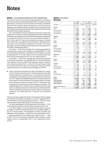### **Notes**

#### **NOTE 1** ACCOUNTING PRINCIPLES AND DEFINITIONS

The interim report for the Group has been prepared in accordance with International Accounting Standard (IAS) 34 *Interim Financial Reporting* as issued by the International Accounting Standards Board and the Swedish Annual Accounts Act, and for the parent company in accordance with the Swedish Annual Accounts Act and RFR 2 *Reporting for legal entities* and other statements issued by the Swedish Financial Reporting Board.

The Consolidated Financial Statements previously issued and prepared in accordance with the International Financial Reporting Standards and interpretations of the IFRS Interpretations Committee as endorsed by the EU as of and for the years ended December 31, 2015, 2016, and 2017 have been restated with respect to certain items within the consolidated income statement, consolidated balance sheet, and consolidated statements of cash flow. The nature and impact of each restatement affecting the periods presented in this report is described in Note 10.

On January 1, 2018 Tele2 changed the accounting principles for revenues from contracts with customers, by applying IFRS 15, with full retrospective application. Description of the changes, as a result of applying IFRS 15, and the effects on the six month period and three month period ended June 30, 2017 are stated in Note 10.

On January 1, 2018 Tele2 changed the accounting principles for financial instruments, by applying IFRS 9. The accounting policies related to Financial Assets and Liabilities remain consistent with those described in Note 1 of the 2017 Annual Report except for accounts receivables and other receivables, which have been updated as follows in accordance with the adoption of IFRS 9:

■ Tele2's accounts receivables and other receivables are categorized as "Assets at amortized cost" initially reported at fair value and subsequently at amortized cost. An allowance for expected credit losses is calculated no matter if a loss event has occurred or not. Tele2 applies the simplified approach to recognize expected credit losses for trade receivables and contract assets that result from transactions within the scope of IFRS 15 (Revenues from contracts with customers) and for finance lease receivables. The simplified approach is always based on lifetime expected credit losses considering information about historical data adjusted for current conditions and forecasts of future events and economic conditions. Any impairment loss is reported as an operating expense.

Tele2 has chosen to apply the reliefs in the standard and not restate prior periods. Description of changes as a result of applying IFRS 9 and the effects on the opening balance January 1, 2018 are consistent with those found in Note 35 of the 2017 Annual report.

The other amendments to IFRSs applicable from January 1, 2018 had no significant effects to Tele2's financial reports for Q2 2018.

In all other respects, Tele2 has presented this interim report in accordance with the accounting policies and principles applied in the 2017 Annual Report. The description of these principles and definitions is found in Note 1 and Note 35 in the Annual Report 2017.

Figures presented in this interim report refer to April 1 – June 30 (Q2), 2018 and continuing operations unless otherwise stated. Figures shown in parentheses refer to the comparable periods in 2017.

#### **NOTE 2** REVENUE **Revenue**

|                             | 2018         | 2017                       | 2018         | 2017                       |
|-----------------------------|--------------|----------------------------|--------------|----------------------------|
| <b>SEK</b> million          | Jan 1-Jun 30 | Jan 1-Jun 30<br>(Restated) | Apr 1-Jun 30 | Apr 1-Jun 30<br>(Restated) |
|                             |              |                            |              |                            |
| Sweden                      |              |                            |              |                            |
| Mobile                      | 6,113        | 5,914                      | 3,065        | 2,944                      |
| Fixed broadband             | 549          | 641                        | 264          | 314                        |
| Fixed telephony             | 157          | 196                        | 77           | 97                         |
| Other operations            | 1,023        | 998                        | 514          | 509                        |
|                             | 7,842        | 7,749                      | 3,920        | 3,864                      |
| Lithuania                   |              |                            |              |                            |
| Mobile                      | 1,136        | 918                        | 604          | 479                        |
|                             | 1,136        | 918                        | 604          | 479                        |
| Latvia                      |              |                            |              |                            |
| Mobile                      | 621          | 536                        | 325          | 279                        |
|                             | 621          | 536                        | 325          | 279                        |
| Estonia                     |              |                            |              |                            |
| Mobile                      | 353          | 337                        | 179          | 182                        |
| Fixed broadband             | 8            |                            | 5            |                            |
| Fixed telephony             | 1            | 2                          |              | 1                          |
| Other operations            | 23           | 21                         | 12           | 11                         |
|                             | 385          | 360                        | 196          | 194                        |
| Kazakhstan                  |              |                            |              |                            |
| Mobile                      | 1,471        | 1,359                      | 784          | 711                        |
|                             | 1,471        | 1,359                      | 784          | 711                        |
| Croatia                     |              |                            |              |                            |
| Mobile                      | 883          | 769                        | 450          | 410                        |
|                             | 883          | 769                        | 450          | 410                        |
| Germany                     |              |                            |              |                            |
| Mobile                      | 158          | 172                        | 80           | 85                         |
| Fixed broadband             | 44<br>75     | 53                         | 22<br>36     | 26<br>43                   |
| Fixed telephony             | 277          | 89<br>314                  | 138          | 154                        |
| <b>Other</b>                |              |                            |              |                            |
| Mobile                      | 94           | 72                         | 51           | 40                         |
| Other operations            | 73           | 62                         | 41           | 32                         |
|                             | 167          | 134                        | 92           | 72                         |
| <b>TOTAL</b>                |              |                            |              |                            |
| Mobile                      | 10,829       | 10,077                     | 5,538        | 5,130                      |
| <b>Fixed broadband</b>      | 601          | 694                        | 291          | 340                        |
| <b>Fixed telephony</b>      | 233          | 287                        | 113          | 141                        |
| Other operations            | 1,119        | 1,081                      | 567          | 552                        |
|                             | 12,782       | 12,139                     | 6,509        | 6,163                      |
| Internal sales, elimination | $-31$        | $-22$                      | $-18$        | $-11$                      |
| <b>TOTAL</b>                | 12,751       | 12,117                     | 6,491        | 6,152                      |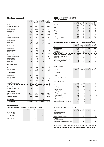#### **Mobile revenue split**

| <b>SEK</b> million       | 2018<br>Jan 1-Jun 30 | 2017<br>Jan 1-Jun 30<br>(Restated) | 2018<br>Apr 1-Jun 30 | 2017<br>Apr 1-Jun 30<br>(Restated) |
|--------------------------|----------------------|------------------------------------|----------------------|------------------------------------|
|                          |                      |                                    |                      |                                    |
| Sweden, mobile           |                      |                                    |                      |                                    |
| End-user service revenue | 3,836                | 3,883                              | 1,925                | 1,936                              |
| Operator revenue         | 407                  | 419                                | 217                  | 216                                |
| Equipment revenue        | 1.573                | 1.309                              | 775                  | 642                                |
| Other revenue            | 295                  | 302                                | 147                  | 149                                |
| Internal sales           | 2                    | 1                                  | 1                    | 1                                  |
|                          | 6,113                | 5,914                              | 3,065                | 2,944                              |
| Lithuania, mobile        |                      |                                    |                      |                                    |
| End-user service revenue | 637                  | 541                                | 335                  | 282                                |
| Operator revenue         | 118                  | 107                                | 63                   | 55                                 |
| Equipment revenue        | 368                  | 261                                | 198                  | 138                                |
| Internal sales           | 13                   | 9                                  | 8                    | 4                                  |
|                          | 1,136                | 918                                | 604                  | 479                                |
| Latvia, mobile           |                      |                                    |                      |                                    |
| End-user service revenue | 373                  | 317                                | 194                  | 167                                |
| Operator revenue         | 98                   | 102                                | 51                   | 53                                 |
| Equipment revenue        | 141                  | 110                                | 75                   | 56                                 |
| Internal sales           | 9                    | 7                                  | 5                    | 3                                  |
|                          | 621                  | 536                                | 325                  | 279                                |
| Estonia, mobile          |                      |                                    |                      |                                    |
| End-user service revenue | 214                  | 220                                | 110                  | 112                                |
| Operator revenue         | 43                   | 38                                 | 2.4                  | 20                                 |
| Equipment revenue        | 93                   | 77                                 | 43                   | 49                                 |
| Internal sales           | 3                    | $\overline{2}$                     | $\overline{2}$       | 1                                  |
|                          | 353                  | 337                                | 179                  | 182                                |
| Kazakhstan, mobile       |                      |                                    |                      |                                    |
| End-user service revenue | 1,147                | 1,039                              | 613                  | 545                                |
| Operator revenue         | 313                  | 308                                | 167                  | 160                                |
| Equipment revenue        | 11                   | 12                                 | 4                    | 6                                  |
|                          | 1,471                | 1,359                              | 784                  | 711                                |
| Croatia, mobile          |                      |                                    |                      |                                    |
| End-user service revenue | 532                  | 430                                | 272                  | 224                                |
| Operator revenue         | 104                  | 106                                | 60                   | 60                                 |
| Equipment revenue        | 243                  | 230                                | 116                  | 124                                |
| Internal sales           | 4                    | 3                                  | 2                    | 2                                  |
|                          | 883                  | 769                                | 450                  | 410                                |
| Germany, mobile          |                      |                                    |                      |                                    |
| End-user service revenue | 158                  | 172                                | 80                   | 85                                 |
|                          | 158                  | 172                                | 80                   | 85                                 |
| Other, mobile            |                      |                                    |                      |                                    |
| End-user service revenue | 94                   | 72                                 | 51                   | 40                                 |
|                          | 94                   | 72                                 | 51                   | 40                                 |
| <b>TOTAL, MOBILE</b>     |                      |                                    |                      |                                    |
| End-user service revenue | 6,991                | 6,674                              | 3,580                | 3,391                              |
| Operator revenue         | 1,083                | 1,080                              | 582                  | 564                                |
| <b>Equipment revenue</b> | 2,429                | 1,999                              | 1,211                | 1,015                              |
| Other revenue            | 295                  | 302                                | 147                  | 149                                |
| Internal sales           | 31                   | 22                                 | 18                   | 11                                 |
| TOTAL, MOBILE            | 10,829               | 10,077                             | 5,538                | 5,130                              |

#### **Internal sales**

Internal sales within the Tele2 Group are stated below:

| SEK million          | 2018<br>Jan 1-Jun 30 | 2017<br>Jan 1-Jun 30 | 2018<br>Apr 1-Jun 30 | 2017<br>Apr 1-Jun 30 |
|----------------------|----------------------|----------------------|----------------------|----------------------|
| Sweden, mobile       |                      |                      |                      |                      |
| Lithuania, mobile    | 13                   | 9                    | 8                    |                      |
| Latvia, mobile       | 9                    |                      | 5                    |                      |
| Estonia, mobile      | 3                    | 2                    | 2                    |                      |
| Croatia, mobile      |                      |                      |                      |                      |
| Total internal sales | 31                   | 22                   | 18                   |                      |

#### **NOTE 3** SEGMENT REPORTING **AdjustedEBITDA**

|                              | 2018         | 2017         | 2018         | 2017         |
|------------------------------|--------------|--------------|--------------|--------------|
|                              | Jan 1-Jun 30 | Jan 1-Jun 30 | Apr 1-Jun 30 | Apr 1-Jun 30 |
| SEK million                  |              | (Restated)   |              | (Restated)   |
| Sweden                       | 2,108        | 2,185        | 1,042        | 1,043        |
| Lithuania                    | 382          | 318          | 205          | 171          |
| Latvia                       | 223          | 183          | 120          | 95           |
| Estonia                      | 75           | 88           | 40           | 44           |
| Kazakhstan                   | 466          | 279          | 264          | 158          |
| Croatia                      | 121          | 63           | 69           | 39           |
| Germany                      | 126          | 123          | 66           | 61           |
| Other                        | $-46$        | $-82$        | $-17$        | $-30$        |
| <b>Total adjusted EBITDA</b> | 3,455        | 3.157        | 1,789        | 1.581        |

#### **Reconciling items to reported operating profit/loss**

| SEK million                                                      | 2018<br>Jan 1-Jun 30 | 2017<br>Jan 1-Jun 30<br>(Restated) | 2018<br>Apr 1-Jun 30 | 2017<br>Apr 1-Jun 30<br>(Restated) |
|------------------------------------------------------------------|----------------------|------------------------------------|----------------------|------------------------------------|
| <b>AdjustedEBITDA</b>                                            | 3.455                | 3.157                              | 1.789                | 1,581                              |
| Acquisition costs                                                | $-160$               | $-1$                               | $-111$               | $-1$                               |
| Integration costs                                                | $-39$                | $-111$                             | $-19$                | $-30$                              |
| Challenger program                                               |                      | $-59$                              |                      | $-35$                              |
| Total items affecting comparability                              | $-199$               | $-171$                             | $-130$               | $-66$                              |
| Depreciation/amortization and<br>impairment                      | $-1.226$             | $-1.256$                           | $-619$               | $-621$                             |
| Result from shares in joint ventures<br>and associated companies | 14                   |                                    |                      |                                    |
| Operating profit/loss                                            | 2.044                | 1.731                              | 1.040                | 895                                |

#### *Acquisition costs*

|                                | 2018         | 2017         | 2018         | 2017         |
|--------------------------------|--------------|--------------|--------------|--------------|
| SEK million                    | Jan 1-Jun 30 | Jan 1-Jun 30 | Apr 1-Jun 30 | Apr 1-Jun 30 |
| Com Hem. Sweden                | $-160$       |              | $-111$       |              |
| TDC. Sweden                    |              | -1           |              |              |
| <b>Total acquisition costs</b> | $-160$       | -1           | $-111$       | -1           |
| of which:                      |              |              |              |              |
| -other operating expenses      | $-160$       | -1           | $-111$       |              |

#### *Integration costs*

| SEK million                           | 2018<br>Jan 1-Jun 30 | 2017<br>Jan 1-Jun 30 | 2018<br>Apr 1-Jun 30 | 2017<br>Apr 1-Jun 30 |
|---------------------------------------|----------------------|----------------------|----------------------|----------------------|
| TDC. Sweden                           | $-34$                | $-96$                | $-14$                | $-22$                |
| Com Hem, Sweden                       | $-5$                 |                      | $-5$                 |                      |
| Altel, Kazakhstan                     |                      | $-15$                |                      | $-8$                 |
| <b>Total integration costs</b>        | $-39$                | $-111$               | $-19$                | $-30$                |
| of which:                             |                      |                      |                      |                      |
| -cost of services provided            | $-9$                 | $-39$                | $-8$                 | $-9$                 |
| -selling expenses                     | $-14$                | $-2.3$               | $-14$                |                      |
| -administrative expenses              | $-16$                | $-4.9$               | 3                    | $-21$                |
| of which:                             |                      |                      |                      |                      |
| -redundancy costs                     | $-5$                 | $-57$                | $-5$                 |                      |
| -other employee and consultancy costs | $-22$                | $-29$                | $-13$                | $-19$                |
| -exit of contracts and other costs    | $-12$                | $-25$                | $-1$                 | $-11$                |

#### *Challenger program: restructuring costs*

| SEK million                           | 2018<br>Jan 1-Jun 30 | 2017<br>Jan 1-Jun 30 | 2018<br>Apr 1-Jun 30 | 2017<br>Apr 1-Jun 30 |
|---------------------------------------|----------------------|----------------------|----------------------|----------------------|
| Costs of services provided            |                      | $-4$                 |                      | $-2$                 |
| Selling expenses                      |                      | $-1$                 |                      |                      |
| Administrative expenses               |                      | $-54$                |                      | $-33$                |
| Total Challenger program costs        |                      | $-59$                |                      | $-35$                |
| of which:                             |                      |                      |                      |                      |
| -redundancy costs                     |                      | $-31$                |                      | $-25$                |
| -other employee and consultancy costs |                      | $-27$                |                      | $-10$                |
| -exit of contracts and other costs    |                      | -1                   |                      |                      |

The Challenger program ended on December 31, 2017. For additional information, please refer to the in Note 6 of the 2017 Annual Report.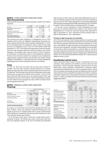#### **NOTE 4** OTHER FINANCIAL ITEMS AND TAXES **Other financial items**

Other financial items in the income statement consist of the following items.

|                                                 | 2018         | 2017         | 2018         | 2017         |
|-------------------------------------------------|--------------|--------------|--------------|--------------|
| SEK million                                     | Jan 1-Jun 30 | Jan 1-Jun 30 | Apr 1-Jun 30 | Apr 1-Jun 30 |
| Change in fair value, earn out<br>Kazakhstan    | $-126$       | $-121$       | $-54$        | $-83$        |
| Exchange rate differences                       | $-18$        | 4            | $-2.4$       | $-6$         |
| EUR net investment hedge, interest<br>component | $-1$         | $-1$         | $-1$         |              |
| Other financial expenses                        | $-20$        | $-7$         | $-3$         | $-5$         |
| Total other financial items                     | $-165$       | $-125$       | $-82$        | $-94$        |

The previous put option obligation in Kazakhstan was in 2016 replaced with an earn-out obligation representing 18 percent economic interest in the jointly owned company in Kazakhstan. To cover for the estimated earn-out obligation, that is based on fair value, the earn-out obligation was on June 30, 2018 valued at SEK 558 (December 31, 2017: 432) million and reported as a financial liability with fair value changes reported as financial items in the income statement. The change in fair value on June 30, 2018 is related to a continuation of the positive trend in the Kazakhstan operation. The fair value estimate is sensitive to changes in key assumptions supporting the expected future cash flows for the jointly owned company in Kazakhstan. A deviation from the current assumptions regarding the fair value would impact the earn-out liability.

#### **Taxes**

On June 13, 2018 new tax rules and tax rates were enacted in Sweden. The new rules includes a general limitation on interest deduction and a decrease of the corporate income tax rate from 22 to 20.6 percent. The decrease of the tax rate will take place in two steps and the new tax rules will be effective from January 1, 2019. For the years 2019 and 2020 the tax rate is 21.4 percent and for 2021 and onwards the tax rate is 20.6 percent. Tele2 has estimated a positive one time effect due the changed tax rules of SEK 20 million which was recognized in Q2 2018.

#### **NOTE 5** FINANCIAL ASSETS AND LIABILITIES **Financing**

|                                    | Interest-bearing liabilities |              |                            |             |  |
|------------------------------------|------------------------------|--------------|----------------------------|-------------|--|
|                                    |                              | Jun 30, 2018 | Dec 31, 2017<br>(Restated) |             |  |
| SEK million                        | Current                      | Non-current  | Current                    | Non-current |  |
| Bonds SEK, Sweden                  | 1,500                        | 7.037        |                            | 8,534       |  |
| Commercial papers, Sweden          |                              |              | 500                        |             |  |
| Financial institutions             | 2.77                         | 2,844        | 39                         | 1,473       |  |
|                                    | 1.777                        | 9.881        | 539                        | 10.007      |  |
| Provisions                         | 115                          | 1.011        | 97                         | 983         |  |
| Other liabilities                  | 715                          | 152          | 184                        | 575         |  |
|                                    | 2.607                        | 11.044       | 820                        | 11,565      |  |
| Total interest-bearing liabilities |                              | 13.651       |                            | 12.385      |  |

On January 10, 2018 Tele2 announced the merger plan with Com Hem, Sweden. Tele2 has obtained committed financing for the merger in the form of a bridge facility from a group of three banks with conditions to drawdown that are usual and customary for this type of facility. Please refer to Note 9.

As of the date of this report, Tele2 had a credit facility with a syndicate of banks. The facility has a tenor of five years with two one-year extension options. In Q1 2017, the facility was extended with one year to 2022 and in Q1 2018 with additionally one year to 2023. The facility amounts to EUR 760 million and was unutilized on June 30, 2018. In 2016, Tele2 entered into a six-year loan agreement with European Investment Bank (EIB) amounting to EUR 125 million. On April 6, 2018, the EIB facility was utilized by EUR 125 million.

At the time of the acquisition of Tele2 Kazakhstan the company had an existing interest free liability to the former owner Kazakhtelecom. On June 30, 2018 the reported debt amounted to SEK 31 (December 31, 2017: 26) million and the nominal value to SEK 307 (December 31, 2017: 289) million.

#### Transfer of right of payment of receivables

In Q1 2016 and onwards, Tele2 Sweden started to transfer the right for payment of certain operating receivables to financial institutions. The receiving payment obtained from financial institutions, in relation to the transfer of right of payment of receivables for sold handsets and other equipment, has been netted against the receivables in the balance sheet and resulted in a positive effect on cash flow. The right of payment transferred to third parties without recourse or remaining credit exposure for Tele2 corresponded to SEK 386 (274) million in Q2 2018 and SEK 688 (691) million for 6 months period ended on June 30, 2018.

#### **Classification and fair values**

Tele2's financial assets consist mainly of receivables from end customers, other operators and resellers as well as cash and cash equivalents. Tele2's financial liabilities consist mainly of loans, bonds and accounts payables. Classification of financial assets and liabilities including their fair value is presented below. During 2018, no transfers were made between the different levels in the fair value hierarchy and no significant changes were made to valuation techniques, inputs used or assumptions except for the adoption from January 1, 2018, of an expected credit loss model for financial assets triggered by IFRS 9.

|                                                                               |                                                                    |                                        | Jun 30, 2018                   |                                                    |                            |           |
|-------------------------------------------------------------------------------|--------------------------------------------------------------------|----------------------------------------|--------------------------------|----------------------------------------------------|----------------------------|-----------|
|                                                                               | Assets and liabilities<br>at fair value through<br>profit/loss     |                                        |                                |                                                    |                            |           |
| SEK million                                                                   | Derivative<br>instruments<br>designated<br>for hedge<br>accounting | Other<br>instru-<br>ments<br>(level 3) | Assets at<br>amortized<br>cost | Financial<br>liabilities<br>at amor-<br>tized cost | Total<br>reported<br>value | Fairvalue |
| Other financial assets                                                        |                                                                    | 1                                      | 804                            |                                                    | 805                        | 805       |
| Accounts receivables                                                          |                                                                    |                                        | 2,157                          |                                                    | 2,157                      | 2.157     |
| Other current receivables                                                     |                                                                    |                                        | 2,771                          |                                                    | 2,771                      | 2,771     |
| Current investments                                                           |                                                                    |                                        | 70                             |                                                    | 70                         | 70        |
| Cash and cash equivalents                                                     |                                                                    |                                        | 248                            |                                                    | 2.48                       | 248       |
| Assets classified as held for<br>sale                                         |                                                                    |                                        | 2,267                          |                                                    | 2,267                      | 2,267     |
| <b>Total financial assets</b>                                                 | -                                                                  | $\mathbf{1}$                           | 8,317                          |                                                    | 8,318                      | 8,318     |
| Liabilities to financial<br>institutions and similar<br>liabilities           |                                                                    |                                        |                                | 11,658                                             | 11,658                     | 11,729    |
| Other interest-bearing<br>liabilities                                         | 147                                                                | 571                                    |                                | 149                                                | 867                        | 900       |
| Accounts payable                                                              |                                                                    |                                        |                                | 1.454                                              | 1.454                      | 1,454     |
| Other current liabilities                                                     |                                                                    |                                        |                                | 1,327                                              | 1,327                      | 1.327     |
| Liabilities directly<br>associated with assets<br>classified as held for sale |                                                                    |                                        |                                | 768                                                | 768                        | 768       |
| <b>Total financial liabilities</b>                                            | 147                                                                | 571                                    | -                              | 15.356                                             | 16.074                     | 16.178    |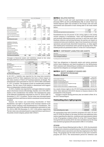|                                                                               | Dec 31, 2017 (Restated)                                            |                                        |                                |                                                    |                   |                  |  |
|-------------------------------------------------------------------------------|--------------------------------------------------------------------|----------------------------------------|--------------------------------|----------------------------------------------------|-------------------|------------------|--|
|                                                                               | Assets and liabilities<br>at fair value through<br>profit/loss     |                                        |                                |                                                    |                   |                  |  |
| SEK million                                                                   | Derivative<br>instruments<br>designated<br>for hedge<br>accounting | Other<br>instru-<br>ments<br>(level 3) | Assets at<br>amortized<br>cost | Financial<br>liabilities<br>at amor-<br>tized cost | Total<br>reported | value Fair value |  |
| Other financial assets                                                        |                                                                    | 1                                      | 658                            |                                                    | 659               | 659              |  |
| Accounts receivables                                                          |                                                                    |                                        | 2.224                          |                                                    | 2.224             | 2.224            |  |
| Other current receivables                                                     | 17                                                                 |                                        | 2.902                          |                                                    | 2,919             | 2.919            |  |
| Current investments                                                           |                                                                    |                                        | 3                              |                                                    | 3                 | 3                |  |
| Cash and cash equivalents                                                     |                                                                    |                                        | 802                            |                                                    | 802               | 802              |  |
| Assets classified as held for<br>sale                                         |                                                                    |                                        | 2.243                          |                                                    | 2.243             | 2.243            |  |
| <b>Total financial assets</b>                                                 | 17                                                                 | $\mathbf{1}$                           | 8.832                          |                                                    | 8.850             | 8.850            |  |
| Liabilities to financial<br>institutions and similar<br>liabilities           |                                                                    |                                        |                                | 10.546                                             | 10.546            | 10.629           |  |
| Other interest-bearing<br>liabilities                                         | 156                                                                | 456                                    |                                | 147                                                | 759               | 790              |  |
| Accounts payable                                                              |                                                                    |                                        |                                | 1.937                                              | 1.937             | 1.937            |  |
| Other current liabilities                                                     |                                                                    |                                        |                                | 1.405                                              | 1.405             | 1.405            |  |
| Liabilities directly<br>associated with assets<br>classified as held for sale |                                                                    |                                        |                                | 967                                                | 967               | 967              |  |
| <b>Total financial liabilities</b>                                            | 156                                                                | 456                                    | -                              | 15.002                                             | 15.614            | 15.728           |  |
|                                                                               |                                                                    |                                        |                                |                                                    |                   |                  |  |

Changes in financial assets and liabilities valued at fair value through profit/loss in level 3 is presented below.

|                                               | Jun 30, 2018 |             | Dec 31, 2017 |             |
|-----------------------------------------------|--------------|-------------|--------------|-------------|
| SEK million                                   | Assets       | Liabilities | Assets       | Liabilities |
| As of January 1                               |              | 456         |              | 124         |
| Changes in fair value, earn-out<br>Kazakhstan |              | 126         |              | 332         |
| Other contingent considerations:              |              |             |              |             |
| -paid                                         |              | $-12$       |              | -8          |
| -other changes                                |              |             |              | 8           |
| As of the end of the period                   |              | 571         |              | 456         |

In Q4 2017, a liability was reported for the long-term incentive program (IoTP) for Tele2 employees that have a direct impact on the value creation of Tele2's IoT business (internet-of-things). The estimated fair value amounted on June 30, 2018 to SEK 3 (December 31, 2017: 3) million. The program is built on transferrable synthetic options. The fair value of the liability is determined with support from an independent valuation institute.

In 2016, a liability was reported for contingent deferred consideration to the former owners of Kombridge, Sweden. In Q1 2018, SEK 12 million of the consideration was settled. The estimated fair value of the deferred consideration amounted on June 30, 2018 to SEK 10 (December 31, 2017: 21) million. The fair value was calculated based on expected future cash flows at which a maximum turnout has been assumed.

Asianet, the former non-controlling shareholder of Tele2 Kazakhstan, has right to 18 percent of the economic interest in the jointly owned company with Kazakhtelecom in Kazakhstan. The estimated fair value of the deferred consideration amounted on June 30, 2018 to SEK 558 (December 31, 2017: 432) million respectively. The fair value was calculated based on expected future cash flows of the jointly owned company, please refer to Note 4.

#### **NOTE 6** RELATED PARTIES

Tele2's share of cash and cash equivalents in joint operations (Svenska UMTS-nät AB and Net4Mobility HB), for which Tele2 has limited disposal rights was included in the Group's cash and cash equivalents and amounted at each closing date to the sums stated below.

| SEK million                                   | 2018<br>$I$ un 30 | 2011<br>Dec 31 |
|-----------------------------------------------|-------------------|----------------|
| Cash and cash equivalents in joint operations |                   |                |

Kazakhtelecom has 49 percent of the voting rights in the jointly owned company in Kazakhstan. Tele2 and Kazakhtelecom sell and purchase telecommunication services to and from each other. Business relations and pricing between the parties are based on commercial terms and conditions. Apart from transactions with joint operations and previously described transactions, no other significant related party transactions were carried out during 2018. Other related parties are presented in Note 37 of the 2017 Annual Report.

#### **NOTE 7** CONTINGENT LIABILITIES AND ASSETS

| SEK million                   | Jun 30, 2018 | Dec 31, 2017 |
|-------------------------------|--------------|--------------|
| Asset dismantling obligation  | 160          | 149          |
| Total contingent liabilities* | 160          | 149          |

\* including discontinued operations

Tele2 has obligations to dismantle assets and restore premises within fixed telephony and fixed broadband in the Netherlands. Tele2 assesses such dismantling as unlikely and consequently only reported this obligation as contingent liabilities.

#### **NOTE 8** EQUITY, NUMBER OF SHARES AND INCENTIVE PROGRAMS **Number of shares**

|                                                   | Jun 30, 2018 | Dec 31, 2017 |
|---------------------------------------------------|--------------|--------------|
| Total number of shares                            | 506.900.012  | 506.900.012  |
| Number of treasury shares                         | $-3.695.420$ | $-4,144,459$ |
| Number of outstanding shares                      | 503.204.592  | 502.755.553  |
| Number of outstanding shares, weighted average    | 502.895.254  | 502.614.759  |
| Number of shares after dilution                   | 507,039,653  | 505.931.001  |
| Number of shares after dilution, weighted average | 506.057.689  | 505.637.139  |

As a result of share rights in the LTI 2015 being exercised during Q2 2018, Tele2 delivered 449,039 B-shares in treasury shares to the participants in the program.

Changes in shares during previous year are stated in Note 24 in the 2017 Annual Report.

#### **Outstanding share right programs**

|                                | Jun 30, 2018 | Dec 31, 2017 |
|--------------------------------|--------------|--------------|
| LTI 2018                       | 1,401,884    |              |
| <b>I.TI 2017</b>               | 1.369.719    | 1.373.574    |
| <b>LTI 2016</b>                | 1.063.458    | 1.065.265    |
| <b>LTI 2015</b>                |              | 736,609      |
| Total outstanding share rights | 3.835.061    | 3,175,448    |

All outstanding long-term incentive programs (LTI 2016, LTI 2017 and LTI 2018) are based on the same structure and additional information regarding the objective, conditions and requirements related to the LTI programs is stated in Note 33 of the 2017 Annual Report. During the first six months 2018, the total cost before tax for the longterm incentive programs (LTI) amounted to SEK 27 (17) million.

#### LTI 2018

At the Annual General Meeting held on May 21, 2018, the shareholders approved a retention and performance-based incentive program (LTI 2018) for senior executives and other key employees in the Tele2 Group. The program has the same structure as last year's incentive program (LTI 2017). The measurement period for retention and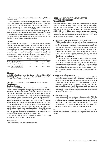performance-based conditions for LTI 2018 is from April 1, 2018 until March 31, 2021.

Total costs before tax for outstanding rights in the incentive program are expensed over the three-year vesting period. These costs, together with the additional expected allotment in connection with the Com Hem merger, are expected to amount to SEK 112 million, of which social security costs amount to SEK 35 million.

To ensure the delivery of Class B shares under the program, the Annual General Meeting decided to authorize the Board of Directors to resolve on a directed share issue of a maximum of 1,750,000 Class C shares and subsequently to repurchase the Class C shares. The Board of Directors has not yet used its mandate.

#### LTI 2015

The exercise of the share rights in LTI 2015 was conditional upon the fulfilment of certain retention and performance-based conditions, measured from April 1, 2015 until March 31, 2018. The outcome of these performance conditions was in accordance with below and the outstanding share rights of 449,039 have been exchanged for shares in Tele2 and 7,344 share rights have been exchanged for cash during Q2 2018. The weighted average share price for share rights for the LTI 2015 at date of exercise amounted to SEK 113.41.

| Retention and performance-<br>based conditions                               | Minimum<br>hurdle (20%) | Stretch target<br>(100% | Performance<br>outcome | Allotment |
|------------------------------------------------------------------------------|-------------------------|-------------------------|------------------------|-----------|
| Series A Total Shareholder Return<br>Tele2 (TSR)                             |                         | $> 0\%$                 | 36.7%                  | 100%      |
| Series B Average normalized Return<br>on Capital Employed (ROCE)             | 9%                      | 12%                     | 4 7%                   | $O\%$     |
| Series C Total Shareholder Return<br>Tele2 (TSR) compared to a<br>peer group | $>0\%$                  | > 10%                   | 34 2%                  | 100%      |

#### **Dividend**

In Q2 2018, Tele2 paid to its shareholders a dividend for 2017 of SEK 4.00 (5.23) per share. The dividend paid in 2018 corresponded to a total of SEK 2,013 (2,629) million.

#### **NOTE 9** BUSINESS ACQUISITIONS AND DIVESTMENTS **Acquisitions**

#### Com Hem, Sweden

On January 10, 2018 Tele2 announced the merger plan with Com Hem in Sweden through a statutory merger in accordance with the Swedish Companies Act, creating a leading integrated connectivity provider. The merger will, if approved by the shareholders, be implemented by Tele2 absorbing Com Hem. Com Hem's shareholders will receive as merger consideration SEK 37.02 in cash plus 1.0374 B shares in Tele2 for each share in Com Hem outstanding as at completion of the merger. Hence, Com Hem's shareholders will receive approximately 26.9 percent economic ownership in Tele2 and a total cash consideration of SEK 6.6 billion. The completion of the merger is subject to, inter alia, approval by the shareholders of each of Tele2 and Com Hem at their respective Extraordinary General Meetings, which are currently expected to be held in second half of 2018 as well as approval from the relevant competition authorities. The merger is expected to be completed during Q4 2018.

Additional information about acquisitions made in 2017 is provided in Note 15 in the 2017 Annual Report.

#### **Divestments**

Please refer to Note 11 discontinued operations.

#### **NOTE 10** RESTATEMENT AND CHANGES IN ACCOUNTING PRINCIPLES

#### **Restatements**

The Consolidated Financial Statements previously issued and prepared in accordance with the International Financial Reporting Standards and interpretations of the IFRS Interpretations Committee as endorsed by the EU as of and for the years ended December 31, 2015, 2016, and 2017 have been restated with respect to certain items within the consolidated income statement, consolidated balance sheet, and consolidated statements of cash flow. The nature and impact of each restatement is described below.

#### *Restatement of valuation allowance – deferred tax assets* П

IAS 12 states that deferred tax assets should be recognized where it is probable that future taxable profit will be available against which the deductible temporary differences can be utilized. IAS 12 states that deferred tax assets should be recognized when utilization is probable, "probable" is commonly interpreted under IFRS as "more likely than not". When making this assessment items such as certain taxable temporary differences, where appropriate, taxable profit in future periods, and tax planning opportunities are considered.

To properly reflect the probability criteria, Tele2 has restated its consolidated financial statements where previously unrecognized deferred tax assets relating to operations in Luxemburg, which was generating a taxable profit, have been recognized in the opening balance sheet in 2015. The adjustment for Luxembourg amounts to SEK 179 million as of December 31, 2017 and results in an increase in deferred tax assets and retained earnings.

#### *Restatement of lease incentive*

In 2016, as a result of the renegotiation of a lease contract, Tele2 in the Netherlands recorded SEK 72 million as a reduction in lease expense representing the remaining unamortized lease incentive amount. In accordance with IAS 17 the lease incentive should have continued to be amortized over the remaining life of the renegotiated lease. As a result the unamortized lease incentive has been reversed and administrative expense has been restated accordingly. This restatement impacts discontinued operations and liabilities held for sale.

#### *Other restatements*

In accordance with presentation requirements under IAS 1, the Company has made certain other adjustments and reclassifications in the income statement and balance sheet for the six month period and three month period ended June 30, 2017. These restatements do not have a material impact on the balance sheet and income statements for any of the periods presented.

The total impact of restatements on the six month period and the three month period ended June 30, 2017 are presented in the tables below.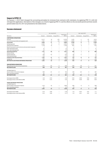#### **Impact of IFRS 15**

On January 1, 2018 Tele2 changed the accounting principles for revenues from contracts with customers, by applying IFRS 15, with full retrospective application. Description of the changes, as a result of applying IFRS 15, and the effects on the six month period and three month period ended June 30, 2017 are presented in the tables below.

#### **Income statement**

|                                                               |              | Jan 1-Jun 30, 2017       |                          |                          | Apr 1-Jun 30, 2017 |                          |                          |                          |
|---------------------------------------------------------------|--------------|--------------------------|--------------------------|--------------------------|--------------------|--------------------------|--------------------------|--------------------------|
| SEK million                                                   | Restated     | Restatements             | Change IFRS 15           | Reported pre-<br>IFRS 15 | Restated           | Restatements             | Change IFRS 15           | Reported pre-<br>IFRS 15 |
| <b>CONTINUING OPERATIONS</b>                                  |              |                          |                          |                          |                    |                          |                          |                          |
| Revenue                                                       | 12,117       | 19                       | $-132$                   | 12,230                   | 6,152              | $-1$                     | $-61$                    | 6,214                    |
| Cost of services provided and equipment sold                  | $-7.191$     | 12                       | 133                      | $-7,336$                 | $-3,606$           | $-3$                     | 62                       | $-3,665$                 |
| Gross profit                                                  | 4,926        | 31                       | $\mathbf{1}$             | 4,894                    | 2,546              | $-4$                     | $\mathbf{1}$             | 2,549                    |
| Selling expenses                                              | $-2,046$     | 8                        | $-2$                     | $-2,052$                 | $-1,057$           | $-1$                     | 5                        | $-1,061$                 |
| Administrative expenses                                       | $-1,178$     | 16                       | $\overline{a}$           | $-1,194$                 | $-607$             | 6                        | $\overline{\phantom{0}}$ | $-613$                   |
| Result from shares in joint ventures and associated companies | $\mathbf{1}$ | $\overline{\phantom{a}}$ |                          | 1                        | $\overline{1}$     | $\overline{\phantom{0}}$ | $\overline{\phantom{0}}$ | $\mathbf{1}$             |
| Other operating income                                        | 51           | $\overline{\phantom{0}}$ | $\overline{\phantom{a}}$ | 51                       | 21                 | $\overline{\phantom{0}}$ | $\equiv$                 | 21                       |
| Other operating expenses                                      | $-23$        | $\overline{\phantom{a}}$ | $\overline{a}$           | $-23$                    | $-9$               |                          |                          | $-9$                     |
| Operating profit/loss                                         | 1,731        | 55                       | $^{-1}$                  | 1,677                    | 895                | 1                        | 6                        | 888                      |
| Interest income                                               | 10           | L.                       | $\overline{\phantom{a}}$ | 10                       | 5                  | $\overline{\phantom{a}}$ | $\equiv$                 | 5                        |
| Interest expenses                                             | $-169$       | $-14$                    |                          | $-155$                   | $-84$              | $-7$                     |                          | $-77$                    |
| Other financial items                                         | $-125$       | $\overline{\phantom{a}}$ | $\overline{a}$           | $-125$                   | $-94$              |                          |                          | $-94$                    |
| Profit/loss after financial items                             | 1.447        | 41                       | $^{-1}$                  | 1,407                    | 722                | -6                       | 6                        | 722                      |
| Income tax                                                    | $-385$       | $-9$                     | $\sqrt{2}$               | $-378$                   | $-192$             | -1                       | $\overline{\phantom{a}}$ | $-193$                   |
| NET PROFIT/LOSS FROM CONTINUING OPERATIONS                    | 1,062        | 32                       | $\mathbf{1}$             | 1,029                    | 530                | $-5$                     | 6                        | 529                      |
| <b>DISCONTINUED OPERATIONS</b>                                |              |                          |                          |                          |                    |                          |                          |                          |
| Net profit/loss from discontinued operations                  | $-454$       | $-83$                    | $-3$                     | $-368$                   | $-290$             | $-38$                    | $^{-1}$                  | $-251$                   |
| <b>NET PROFIT/LOSS</b>                                        | 608          | $-51$                    | $-2$                     | 661                      | 240                | $-43$                    | 5                        | 278                      |
| <b>ATTRIBUTABLE TO</b>                                        |              |                          |                          |                          |                    |                          |                          |                          |
| Equity holders of the parent company                          | 669          | $-51$                    | $-2$                     | 722                      | 259                | $-43$                    | 5                        | 297                      |
| Non-controlling interests                                     | $-61$        | $\overline{a}$           | $\overline{a}$           | $-61$                    | $-19$              | $\overline{\phantom{0}}$ | $\overline{\phantom{0}}$ | $-19$                    |
| <b>NET PROFIT/LOSS</b>                                        | 608          | $-51$                    | $-2$                     | 661                      | 240                | $-43$                    | 5                        | 278                      |
| Earnings per share (SEK)                                      | 1.34         | $-0.10$                  |                          | 1.44                     | 0.53               | $-0.09$                  | 0.02                     | 0.60                     |
| Earnings per share, after dilution (SEK)                      | 1.33         | $-0.10$                  |                          | 1.43                     | 0.53               | $-0.08$                  | 0.02                     | 0.59                     |
| FROM CONTINUING OPERATIONS                                    |              |                          |                          |                          |                    |                          |                          |                          |
| ATTRIBUTABLE TO                                               |              |                          |                          |                          |                    |                          |                          |                          |
| Equity holders of the parent company                          | 1,123        | 32                       | $\mathbf{1}$             | 1,090                    | 549                | $-5$                     | 6                        | 548                      |
| Non-controlling interests                                     | $-61$        | $\overline{\phantom{0}}$ | $\overline{a}$           | $-61$                    | $-19$              | $\overline{\phantom{0}}$ | $\overline{\phantom{0}}$ | $-19$                    |
| <b>NET PROFIT/LOSS</b>                                        | 1,062        | 32                       | $\mathbf{1}$             | 1,029                    | 530                | $-5$                     | 6                        | 529                      |
| Earnings per share (SEK)                                      | 2.24         | 0.06                     |                          | 2.18                     | 1.10               | $-0.02$                  | 0.01                     | 1.11                     |
| Earnings per share, after dilution (SEK)                      | 2.23         | 0.06                     | $\overline{\phantom{0}}$ | 2.17                     | 1.10               | $-0.01$                  | 0.01                     | 1.10                     |
|                                                               |              |                          |                          |                          |                    |                          |                          |                          |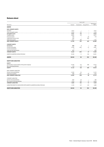#### **Balance sheet**

|                                                                         | Dec 31, 2017 |                          |                          |                          |
|-------------------------------------------------------------------------|--------------|--------------------------|--------------------------|--------------------------|
| SEK million                                                             | Restated     | Restatements             | Change IFRS 15           | Reported pre-<br>IFRS 15 |
| <b>ASSETS</b>                                                           |              |                          |                          |                          |
| <b>NON-CURRENT ASSETS</b>                                               |              |                          |                          |                          |
| Goodwill                                                                | 5,517        |                          |                          | 5,517                    |
| Other intangible assets                                                 | 4,044        | $-62$                    |                          | 4,106                    |
| Intangible assets                                                       | 9,561        | $-62$                    | -                        | 9,623                    |
| Tangible assets                                                         | 8,692        | 115                      | $\overline{\phantom{0}}$ | 8,577                    |
| Financial assets                                                        | 794          | $\overline{a}$           | 20                       | 774                      |
| Capitalized contract costs                                              | 380          | $\overline{\phantom{a}}$ | 380                      |                          |
| Deferred tax assets                                                     | 1,911        | 189                      | $\overline{\phantom{a}}$ | 1,722                    |
| <b>NON-CURRENT ASSETS</b>                                               | 21,338       | 242                      | 400                      | 20,696                   |
| <b>CURRENT ASSETS</b>                                                   |              |                          |                          |                          |
| Inventories                                                             | 689          | $\mathbf 2$              | $\overline{\phantom{a}}$ | 687                      |
| Current receivables                                                     | 6,726        | $-202$                   | 27                       | 6,901                    |
| Current investments                                                     | 3            | $\equiv$                 | $\equiv$                 | 3                        |
| Cash and cash equivalents                                               | 802          | $\equiv$                 | $\overline{\phantom{a}}$ | 802                      |
| <b>CURRENT ASSETS</b>                                                   | 8,220        | $-200$                   | 27                       | 8,393                    |
| ASSETS CLASSIFIED AS HELD FOR SALE                                      | 10,166       | 11                       | 104                      | 10,051                   |
| <b>ASSETS</b>                                                           | 39,724       | 53                       | 531                      | 39,140                   |
| <b>EQUITY AND LIABILITIES</b>                                           |              |                          |                          |                          |
| <b>EQUITY</b>                                                           |              |                          |                          |                          |
| Attributable to equity holders of the parent company                    | 17,246       | $-53$                    | 286                      | 17,013                   |
| Non-controlling interests                                               | $-114$       | $-15$                    |                          | $-99$                    |
| <b>EQUITY</b>                                                           | 17,132       | $-68$                    | 286                      | 16,914                   |
| NON-CURRENT LIABILITIES                                                 |              |                          |                          |                          |
| Interest-bearing liabilities                                            | 11,565       | 52                       | $\qquad \qquad -$        | 11,513                   |
| Deferred tax liability                                                  | 998          | $-251$                   | 49                       | 1,200                    |
| <b>NON-CURRENT LIABILITIES</b>                                          | 12,563       | $-199$                   | 49                       | 12,713                   |
| <b>CURRENT LIABILITIES</b>                                              |              |                          |                          |                          |
| Interest-bearing liabilities                                            | 820          | 24                       | $\overline{\phantom{a}}$ | 796                      |
| Non-interest-bearing liabilities                                        | 7,074        | 169                      | 71                       | 6,834                    |
| <b>CURRENT LIABILITIES</b>                                              | 7,894        | 193                      | 71                       | 7,630                    |
| LIABILITIES DIRECTLY ASSOCIATED WITH ASSETS CLASSIFIED AS HELD FOR SALE | 2,135        | 127                      | 125                      | 1,883                    |
| <b>EQUITY AND LIABILITIES</b>                                           | 39,724       | 53                       | 531                      | 39,140                   |
|                                                                         |              |                          |                          |                          |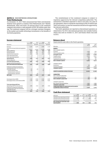#### **NOTE 11** DISCONTINUED OPERATIONS **Tele2 Netherlands**

On December 15, 2017 Tele2 announced that Tele2 and Deutsche Telekom have agreed to combine Tele2 Netherlands and T-Mobile Netherlands. Tele2 will hold a 25 percent share in the combined company and receive a cash payment of EUR 190 million upon closing. The combined company will be a stronger customer champion in the market and enable technology investments to the benefits of the Dutch population.

#### **Income statement**

|                                                                              | 2018<br>Jan 1-Jun 30 | 2017<br>Jan 1-Jun 30 | 2018<br>Apr 1-Jun 30 | 2017<br>Apr 1-Jun 30 |
|------------------------------------------------------------------------------|----------------------|----------------------|----------------------|----------------------|
| SEK million                                                                  |                      | (Restated)           |                      | (Restated)           |
| Revenue                                                                      | 3,105                | 3,375                | 1,568                | 1,714                |
| Cost of services provided and equipment                                      |                      |                      |                      |                      |
| sold                                                                         | $-2,211$             | $-2.432$             | $-1,088$             | $-1,288$             |
| Gross profit/loss                                                            | 894                  | 943                  | 480                  | 426                  |
| Selling expenses                                                             | $-873$               | $-967$               | $-427$               | $-519$               |
| Administrative expenses                                                      | $-491$               | $-388$               | $-2.52$              | $-180$               |
| Other operating income                                                       | $\mathfrak{Z}$       | $\mathfrak{Z}$       | $\mathbf{1}$         | $\mathfrak{D}$       |
| Other operating expenses                                                     | $-11$                | $-2.$                | $-9$                 | $-1$                 |
| Operating loss                                                               | $-479$               | $-412$               | $-207$               | $-272$               |
| Interest expenses                                                            | $-2.$                | $-13$                | $-1$                 | $-13$                |
| Loss after financial items                                                   | $-481$               | $-425$               | $-208$               | $-285$               |
| Income tax from the operation                                                |                      | $-11$                |                      | $-5$                 |
| <b>NET LOSS FROM THE OPERATION</b>                                           | $-481$               | $-436$               | $-208$               | $-290$               |
| Profit/loss on disposal of operation<br>including sales costs and cumulative |                      |                      |                      |                      |
| exchange rate gain                                                           | $-2.2$               | $-18$                | $-19$                |                      |
| -of which Netherlands                                                        | $-2.3$               |                      | $-20$                |                      |
| -of which Austria, sold 2017                                                 | $\mathbf{1}$         |                      | 1                    |                      |
| -of which Russia, sold 2013                                                  |                      | $-18$                |                      |                      |
| <b>NETLOSS</b>                                                               | $-503$               | $-454$               | $-227$               | $-290$               |
|                                                                              |                      |                      |                      |                      |
| Earnings per share (SEK)                                                     | $-1.00$              | $-0.90$              | $-0.45$              | $-0.57$              |
| Earnings per share, after dilution (SEK)                                     | $-1.00$              | $-0.90$              | $-0.45$              | $-0.57$              |
|                                                                              |                      |                      |                      |                      |
| Total operating profit/loss                                                  |                      |                      |                      |                      |
| Operating profit from the operation                                          | $-479$               | $-412$               | $-207$               | $-2.72$              |
| Profit/loss on disposal of operation                                         |                      |                      |                      |                      |
| including sales costs and cumulative                                         |                      |                      |                      |                      |
| exchange rate gain                                                           | $-22$                | $-18$                | $-19$                |                      |
| Total operating loss                                                         | $-501$               | $-430$               | $-226$               | $-2.72$              |

The establishment of the combined company is subject to regulatory approval by the relevant competition authorities. The transaction is therefore expected to close in Q4 2018. As a part of the agreement, there is a break fee amounting to EUR 25 million that Tele2 will receive, in case the transaction should not be approved by the relevant authorities.

The Dutch operations are reported as discontinued operation as stated below. For 2017, discontinued operation also includes Austria which was sold on October 31, 2017 and Russia which was sold in 2013.

#### **Balance sheet**

Assets held for sale refer to the Dutch operation.

|                                             | 2018<br>$I$ un 30 | 2017<br>Dec 31 |
|---------------------------------------------|-------------------|----------------|
| SEK million                                 |                   | (Restated)     |
| <b>ASSETS</b>                               |                   |                |
| NON-CURRENT ASSETS                          |                   |                |
| Goodwill                                    | 1.030             | 973            |
| Other intangible assets                     | 1,288             | 1,271          |
| Intangible assets                           | 2,318             | 2.244          |
| Tangible assets                             | 5.243             | 5.027          |
| Financial assets                            | 628               | 550            |
| Capitalized contract costs                  | 195               | 191            |
| <b>NON-CURRENT ASSETS</b>                   | 8.384             | 8.012          |
|                                             |                   |                |
| <b>CURRENT ASSETS</b>                       |                   |                |
| Inventories                                 | 109               | 130            |
| Current receivables                         | 2,037             | 2,024          |
| <b>CURRENT ASSETS</b>                       | 2.146             | 2.154          |
|                                             |                   |                |
| ASSETS CLASSIFIED AS HELD FOR SALE          | 10.530            | 10.166         |
|                                             |                   |                |
| <b>LIABILITIES</b>                          |                   |                |
| NON-CURRENT LIABILITIES                     |                   |                |
| Interest-bearing liabilities                | 2.74              | 251            |
| <b>NON-CURRENT LIABILITIES</b>              | 274               | 251            |
|                                             |                   |                |
| CURRENT LIABILITIES                         |                   |                |
| Non-interest-bearing liabilities            | 1,846             | 1.884          |
| <b>CURRENT LIABILITIES</b>                  | 1,846             | 1,884          |
| LIABILITIES DIRECTLY ASSOCIATED WITH ASSETS |                   |                |
| <b>CLASSIFIED AS HELD FOR SALE</b>          | 2.120             | 2.135          |

#### **Cash flow statement**

| NET CHANGE IN CASH AND CASH<br><b>EQUIVALENTS</b> | $-468$               | $-365$               | $-163$               | $-152$               |
|---------------------------------------------------|----------------------|----------------------|----------------------|----------------------|
| Cash flow from financing activities               |                      | $-7$                 |                      | -4                   |
| Cash flow from investing activities               | $-580$               | $-521$               | $-190$               | $-262$               |
| Cash flow from operating activities               | 112                  | 163                  | 2.7                  | 114                  |
| SEK million                                       | 2018<br>Jan 1-Jun 30 | 2017<br>Jan 1-Jun 30 | 2018<br>Apr 1-Jun 30 | 2017<br>Apr 1-Jun 30 |